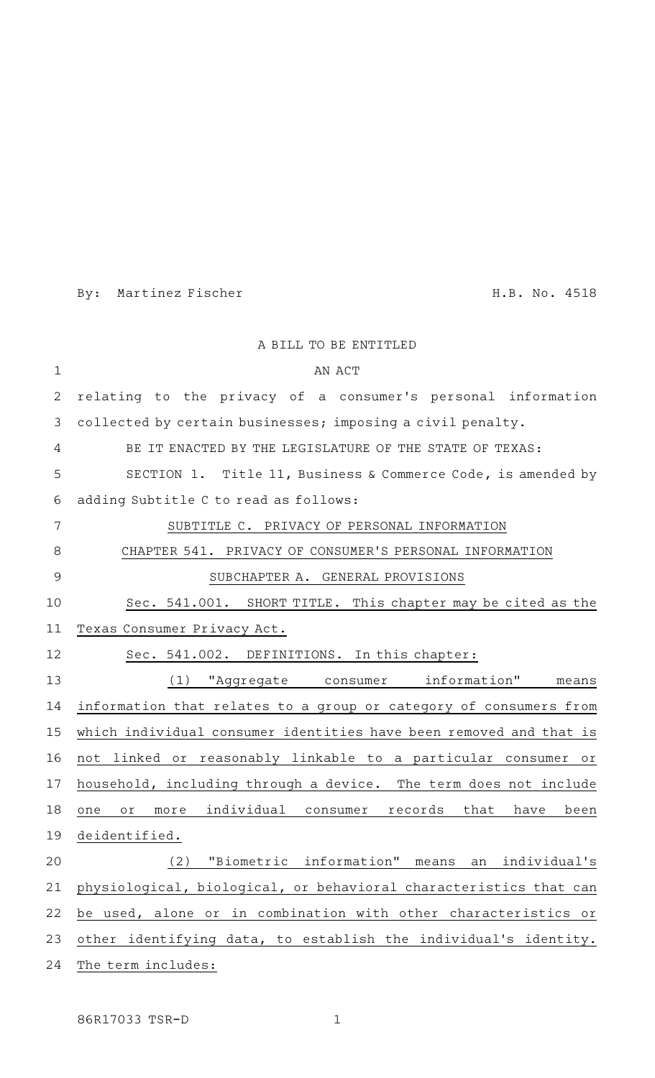By: Martinez Fischer H.B. No. 4518

|             | A BILL TO BE ENTITLED                                                 |
|-------------|-----------------------------------------------------------------------|
| $\mathbf 1$ | AN ACT                                                                |
| 2           | relating to the privacy of a consumer's personal information          |
| 3           | collected by certain businesses; imposing a civil penalty.            |
| 4           | BE IT ENACTED BY THE LEGISLATURE OF THE STATE OF TEXAS:               |
| 5           | SECTION 1. Title 11, Business & Commerce Code, is amended by          |
| 6           | adding Subtitle C to read as follows:                                 |
| 7           | SUBTITLE C. PRIVACY OF PERSONAL INFORMATION                           |
| 8           | CHAPTER 541. PRIVACY OF CONSUMER'S PERSONAL INFORMATION               |
| 9           | SUBCHAPTER A. GENERAL PROVISIONS                                      |
| 10          | Sec. 541.001. SHORT TITLE. This chapter may be cited as the           |
| 11          | Texas Consumer Privacy Act.                                           |
| 12          | Sec. 541.002. DEFINITIONS. In this chapter:                           |
| 13          | "Aggregate consumer information" means<br>(1)                         |
| 14          | information that relates to a group or category of consumers from     |
| 15          | which individual consumer identities have been removed and that is    |
| 16          | not linked or reasonably linkable to a particular consumer or         |
| 17          | household, including through a device. The term does not include      |
| 18          | more individual consumer records<br>that<br>been<br>have<br>one<br>оr |
| 19          | deidentified.                                                         |
| 20          | "Biometric information"<br>(2)<br>means an individual's               |
| 21          | physiological, biological, or behavioral characteristics that can     |
| 22          | be used, alone or in combination with other characteristics or        |
| 23          | other identifying data, to establish the individual's identity.       |
| 24          | The term includes:                                                    |

86R17033 TSR-D 1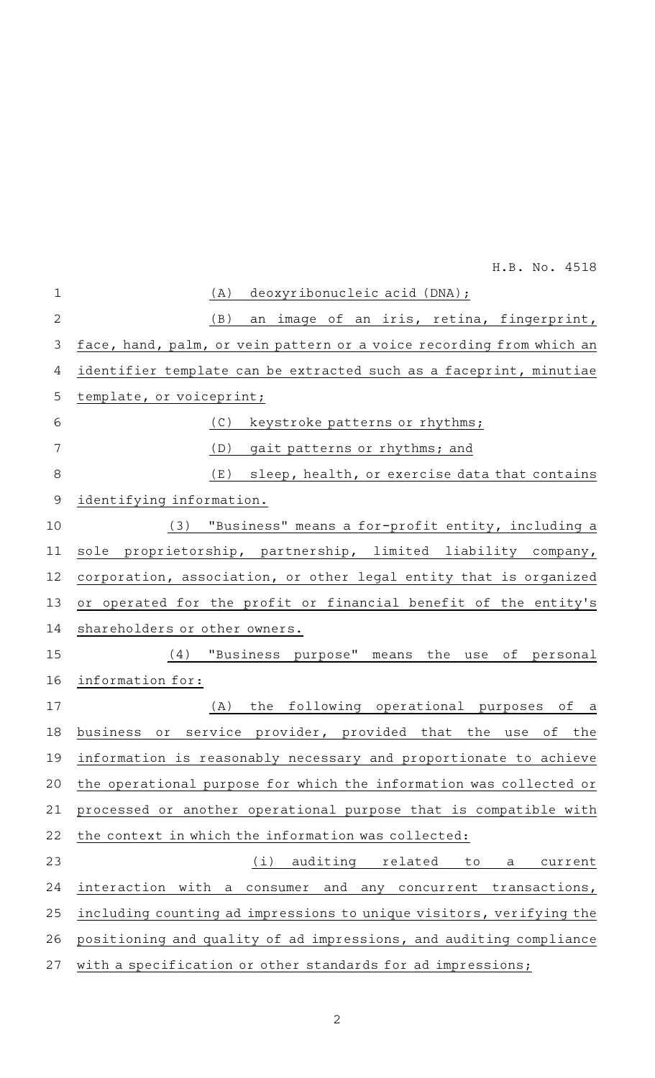| $\mathbf{1}$ | deoxyribonucleic acid (DNA);<br>(A)                                  |
|--------------|----------------------------------------------------------------------|
| $\mathbf{2}$ | (B)<br>an image of an iris, retina, fingerprint,                     |
| 3            | face, hand, palm, or vein pattern or a voice recording from which an |
| 4            | identifier template can be extracted such as a faceprint, minutiae   |
| 5            | template, or voiceprint;                                             |
| 6            | keystroke patterns or rhythms;<br>(C)                                |
| 7            | (D)<br>gait patterns or rhythms; and                                 |
| 8            | (E)<br>sleep, health, or exercise data that contains                 |
| $\mathsf 9$  | identifying information.                                             |
| 10           | "Business" means a for-profit entity, including a<br>(3)             |
| 11           | proprietorship, partnership, limited liability company,<br>sole      |
| 12           | corporation, association, or other legal entity that is organized    |
| 13           | or operated for the profit or financial benefit of the entity's      |
| 14           | shareholders or other owners.                                        |
| 15           | "Business purpose" means the use<br>(4)<br>of personal               |
| 16           | information for:                                                     |
| 17           | the following operational purposes of a<br>(A)                       |
| 18           | or service provider, provided that the<br>business<br>use<br>of the  |
| 19           | information is reasonably necessary and proportionate to achieve     |
| 20           | the operational purpose for which the information was collected or   |
| 21           | processed or another operational purpose that is compatible with     |
| 22           | the context in which the information was collected:                  |
| 23           | auditing<br>(i)<br>related<br>current<br>to<br>a                     |
| 24           | interaction with a consumer and any concurrent transactions,         |
| 25           | including counting ad impressions to unique visitors, verifying the  |
| 26           | positioning and quality of ad impressions, and auditing compliance   |
| 27           | with a specification or other standards for ad impressions;          |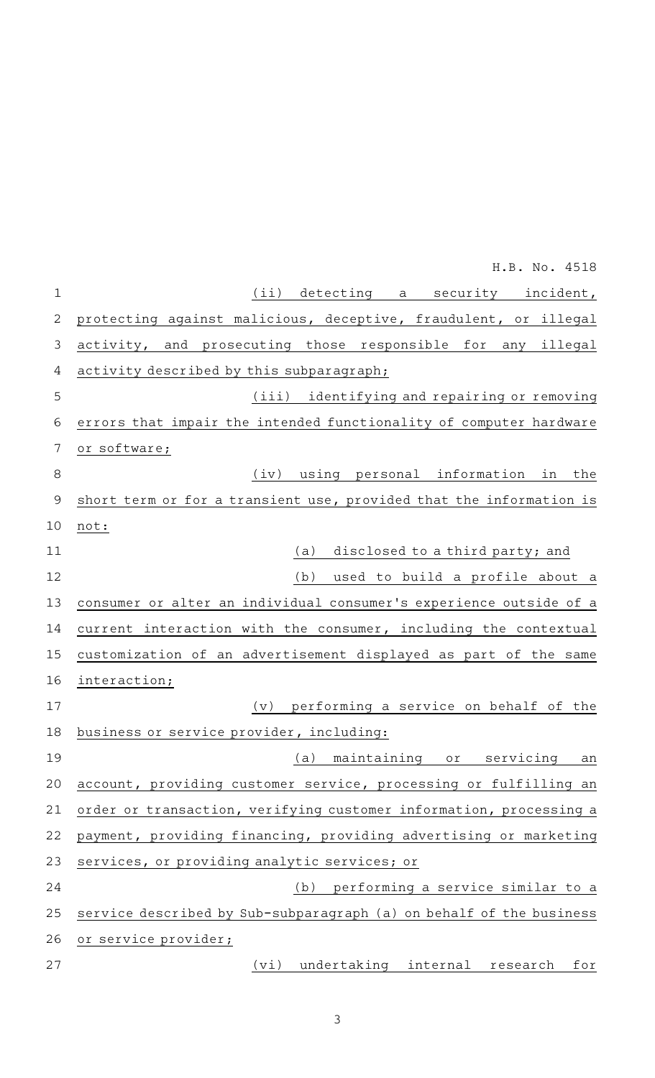|              | H.B. No. 4518                                                       |
|--------------|---------------------------------------------------------------------|
| $\mathbf 1$  | (ii) detecting<br>a security incident,                              |
| $\mathbf{2}$ | protecting against malicious, deceptive, fraudulent, or illegal     |
| 3            | activity, and prosecuting those responsible for any illegal         |
| 4            | activity described by this subparagraph;                            |
| 5            | (iii) identifying and repairing or removing                         |
| 6            | errors that impair the intended functionality of computer hardware  |
| 7            | or software;                                                        |
| $\,8\,$      | using personal information in<br>the<br>(iv)                        |
| $\mathsf 9$  | short term or for a transient use, provided that the information is |
| 10           | not:                                                                |
| 11           | disclosed to a third party; and<br>(a)                              |
| 12           | used to build a profile about a<br>(b)                              |
| 13           | consumer or alter an individual consumer's experience outside of a  |
| 14           | current interaction with the consumer, including the contextual     |
| 15           | customization of an advertisement displayed as part of the same     |
| 16           | interaction;                                                        |
| 17           | performing a service on behalf of the<br>(v)                        |
| 18           | business or service provider, including:                            |
| 19           | maintaining or<br>(a)<br>servicing<br>an                            |
| 20           | account, providing customer service, processing or fulfilling an    |
| 21           | order or transaction, verifying customer information, processing a  |
| 22           | payment, providing financing, providing advertising or marketing    |
| 23           | services, or providing analytic services; or                        |
| 24           | (b) performing a service similar to a                               |
| 25           | service described by Sub-subparagraph (a) on behalf of the business |
| 26           | or service provider;                                                |
| 27           | (vi)<br>undertaking internal research<br>for                        |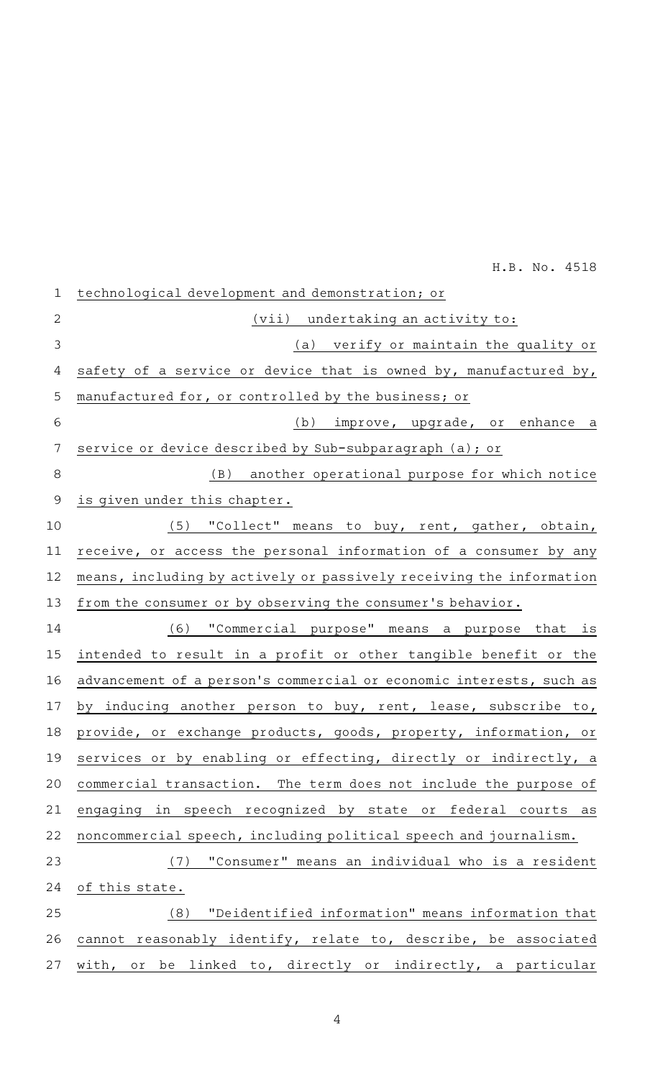| $\mathbf 1$ | technological development and demonstration; or                     |
|-------------|---------------------------------------------------------------------|
| 2           | (vii) undertaking an activity to:                                   |
| 3           | (a) verify or maintain the quality or                               |
| 4           | safety of a service or device that is owned by, manufactured by,    |
| 5           | manufactured for, or controlled by the business; or                 |
| 6           | (b) improve, upgrade, or enhance a                                  |
| 7           | service or device described by Sub-subparagraph (a); or             |
| 8           | (B) another operational purpose for which notice                    |
| $\mathsf 9$ | is given under this chapter.                                        |
| 10          | (5) "Collect" means to buy, rent, gather, obtain,                   |
| 11          | receive, or access the personal information of a consumer by any    |
| 12          | means, including by actively or passively receiving the information |
| 13          | from the consumer or by observing the consumer's behavior.          |
| 14          | (6) "Commercial purpose" means a purpose that is                    |
| 15          | intended to result in a profit or other tangible benefit or the     |
| 16          | advancement of a person's commercial or economic interests, such as |
| 17          | by inducing another person to buy, rent, lease, subscribe to,       |
| 18          | provide, or exchange products, goods, property, information, or     |
| 19          | services or by enabling or effecting, directly or indirectly, a     |
| 20          | commercial transaction. The term does not include the purpose of    |
| 21          | engaging in speech recognized by state or federal courts as         |
| 22          | noncommercial speech, including political speech and journalism.    |
| 23          | "Consumer" means an individual who is a resident<br>(7)             |
| 24          | of this state.                                                      |
| 25          | "Deidentified information" means information that<br>(8)            |
| 26          | cannot reasonably identify, relate to, describe, be associated      |
| 27          | with, or be linked to, directly or indirectly, a particular         |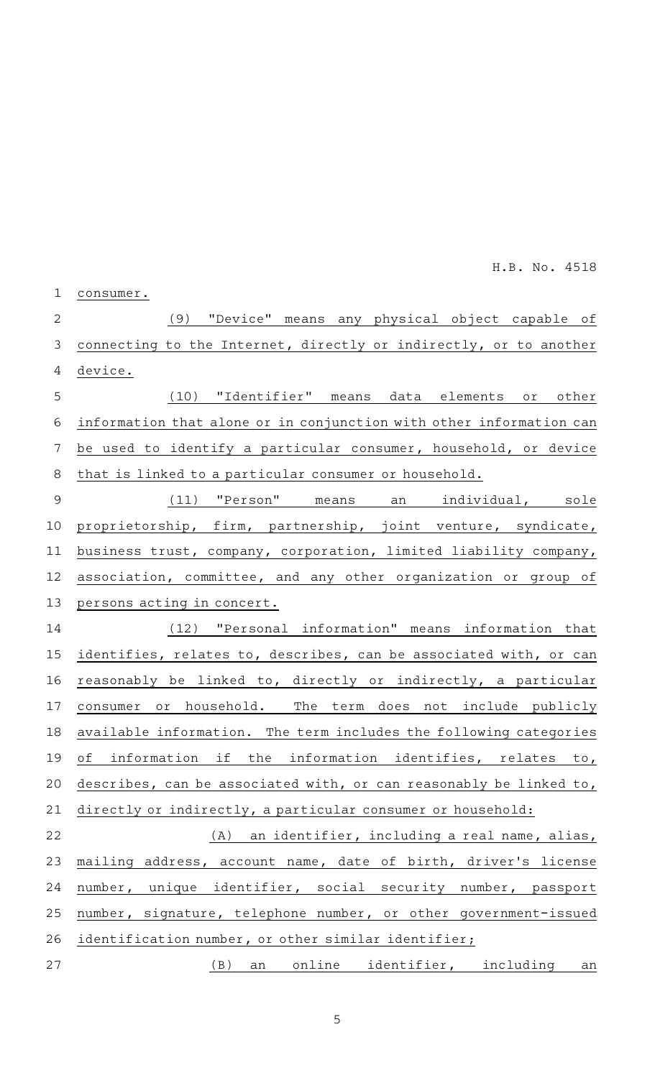| $\mathbf 1$ | consumer.                                                           |
|-------------|---------------------------------------------------------------------|
| 2           | "Device" means any physical object capable of<br>(9)                |
| 3           | connecting to the Internet, directly or indirectly, or to another   |
| 4           | device.                                                             |
| 5           | "Identifier" means data elements or<br>(10)<br>other                |
| 6           | information that alone or in conjunction with other information can |
| 7           | be used to identify a particular consumer, household, or device     |
| 8           | that is linked to a particular consumer or household.               |
| 9           | "Person" means an<br>(11)<br>individual, sole                       |
| 10          | proprietorship, firm, partnership, joint venture, syndicate,        |
| 11          | business trust, company, corporation, limited liability company,    |
| 12          | association, committee, and any other organization or group of      |
| 13          | persons acting in concert.                                          |
| 14          | "Personal information" means information that<br>(12)               |
| 15          | identifies, relates to, describes, can be associated with, or can   |
| 16          | reasonably be linked to, directly or indirectly, a particular       |
| 17          | consumer or household. The term does not include publicly           |
| 18          | available information. The term includes the following categories   |
|             | 19 of information if the information identifies, relates to,        |
| 20          | describes, can be associated with, or can reasonably be linked to,  |
| 21          | directly or indirectly, a particular consumer or household:         |
| 22          | (A) an identifier, including a real name, alias,                    |
| 23          | mailing address, account name, date of birth, driver's license      |
| 24          | number, unique identifier, social security number, passport         |
| 25          | number, signature, telephone number, or other government-issued     |
| 26          | identification number, or other similar identifier;                 |
| 27          | online identifier, including<br>(B)<br>an<br>an                     |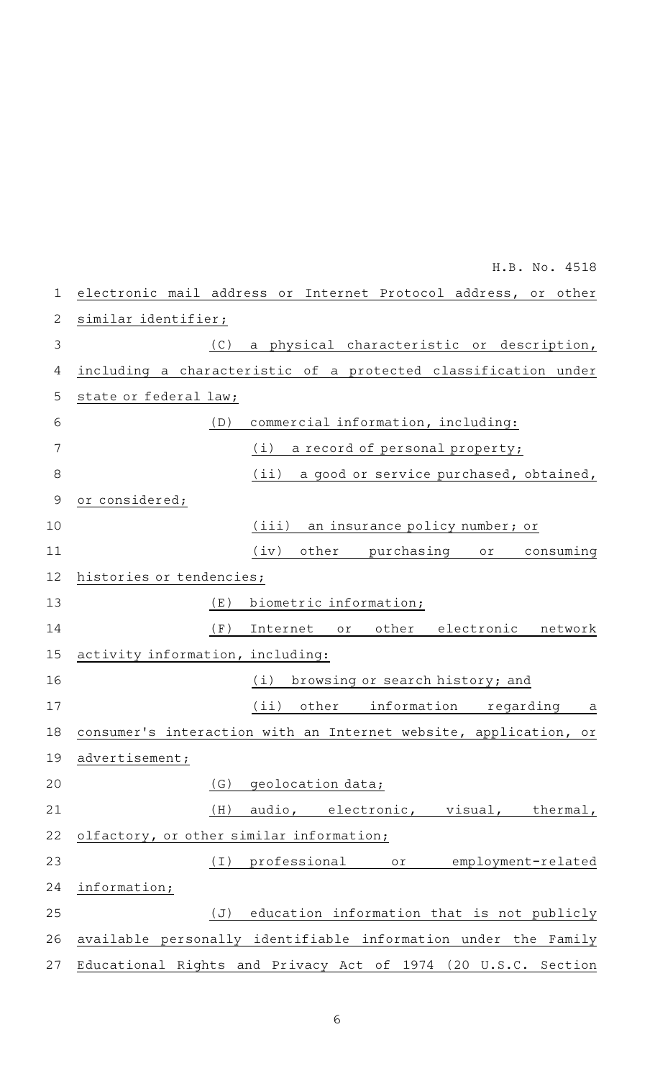| $\mathbf 1$    | electronic mail address or Internet Protocol address, or other   |
|----------------|------------------------------------------------------------------|
| $\overline{2}$ | similar identifier;                                              |
| 3              | (C)<br>a physical characteristic or description,                 |
| 4              | including a characteristic of a protected classification under   |
| 5              | state or federal law;                                            |
| 6              | commercial information, including:<br>(D)                        |
| 7              | (i)<br>a record of personal property;                            |
| 8              | (iii)<br>a good or service purchased, obtained,                  |
| $\overline{9}$ | or considered;                                                   |
| 10             | (iii)<br>an insurance policy number; or                          |
| 11             | $(iv)$ other<br>purchasing or<br>consuming                       |
| 12             | histories or tendencies;                                         |
| 13             | (E)<br>biometric information;                                    |
| 14             | (F)<br>Internet or other electronic network                      |
| 15             | activity information, including:                                 |
| 16             | (i) browsing or search history; and                              |
| 17             | $(iii)$ other<br>information regarding<br>a a                    |
| 18             | consumer's interaction with an Internet website, application, or |
| 19             | advertisement;                                                   |
| 20             | geolocation data;<br>(G)                                         |
| 21             | audio, electronic, visual, thermal,<br>(H)                       |
| 22             | olfactory, or other similar information;                         |
| 23             | professional<br>(I)<br>employment-related<br>or                  |
| 24             | information;                                                     |
| 25             | education information that is not publicly<br>(J)                |
| 26             | available personally identifiable information under the Family   |
| 27             | Educational Rights and Privacy Act of 1974 (20 U.S.C. Section    |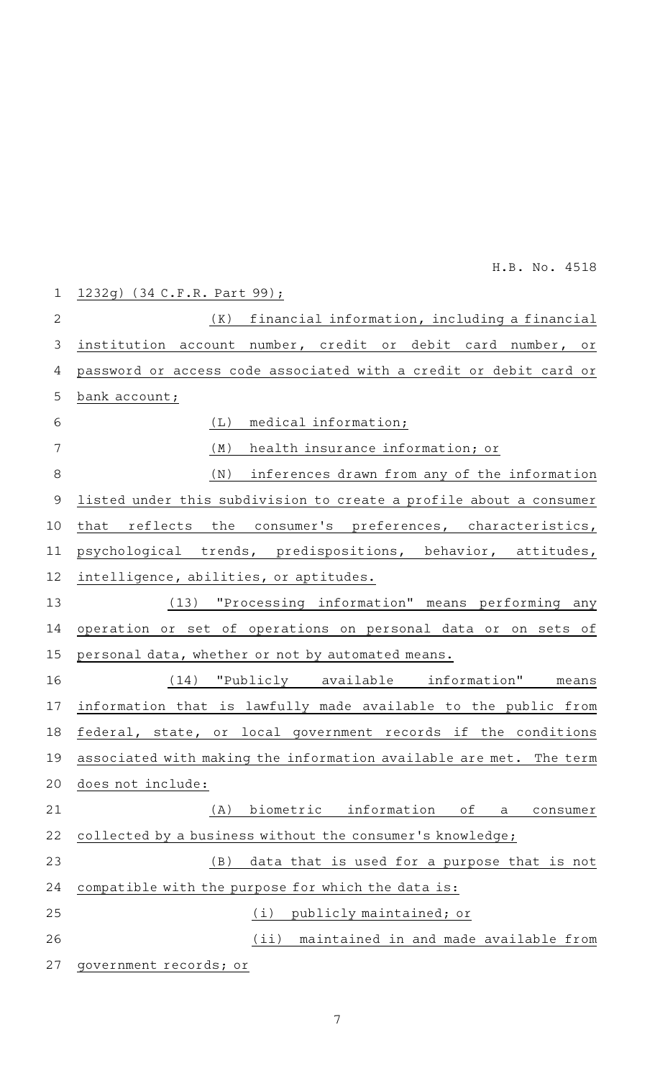| $\mathbf 1$  | 1232g) (34 C.F.R. Part 99);                                        |
|--------------|--------------------------------------------------------------------|
| $\mathbf{2}$ | financial information, including a financial<br>( K )              |
| 3            | institution account number, credit or debit card number, or        |
| 4            | password or access code associated with a credit or debit card or  |
| 5            | bank account;                                                      |
| $\sqrt{6}$   | medical information;<br>(L)                                        |
| 7            | (M)<br>health insurance information; or                            |
| $\,8\,$      | (N)<br>inferences drawn from any of the information                |
| $\mathsf 9$  | listed under this subdivision to create a profile about a consumer |
| 10           | that reflects the consumer's preferences, characteristics,         |
| 11           | psychological trends, predispositions, behavior, attitudes,        |
| 12           | intelligence, abilities, or aptitudes.                             |
| 13           | (13) "Processing information" means performing any                 |
| 14           | operation or set of operations on personal data or on sets of      |
| 15           | personal data, whether or not by automated means.                  |
| 16           | (14) "Publicly available information"<br>means                     |
| 17           | information that is lawfully made available to the public from     |
| 18           | federal, state, or local government records if the conditions      |
| 19           | associated with making the information available are met. The term |
| 20           | does not include:                                                  |
| 21           | biometric information<br>(A)<br>оf<br>consumer<br>a                |
| 22           | collected by a business without the consumer's knowledge;          |
| 23           | data that is used for a purpose that is not<br>(B)                 |
| 24           | compatible with the purpose for which the data is:                 |
| 25           | (i)<br>publicly maintained; or                                     |
| 26           | (iii)<br>maintained in and made available from                     |
| 27           | government records; or                                             |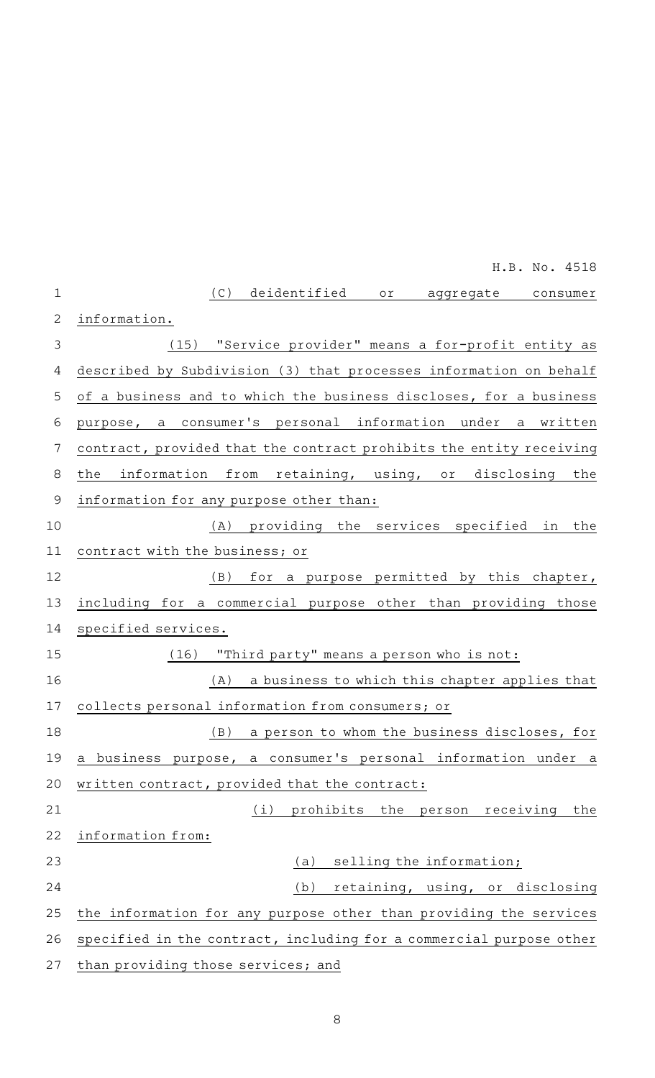|                | H.B. No. 4518                                                       |
|----------------|---------------------------------------------------------------------|
| $\mathbf{1}$   | (C) deidentified<br>or aggregate consumer                           |
| 2              | information.                                                        |
| $\mathfrak{Z}$ | (15) "Service provider" means a for-profit entity as                |
| 4              | described by Subdivision (3) that processes information on behalf   |
| 5              | of a business and to which the business discloses, for a business   |
| $\sqrt{6}$     | purpose, a consumer's personal information under a written          |
| 7              | contract, provided that the contract prohibits the entity receiving |
| 8              | information from retaining, using, or disclosing the<br>the         |
| $\mathsf 9$    | information for any purpose other than:                             |
| 10             | providing the services specified in<br>the<br>(A)                   |
| 11             | contract with the business; or                                      |
| 12             | for a purpose permitted by this chapter,<br>(B)                     |
| 13             | including for a commercial purpose other than providing those       |
| 14             | specified services.                                                 |
| 15             | (16) "Third party" means a person who is not:                       |
| 16             | (A)<br>a business to which this chapter applies that                |
| 17             | collects personal information from consumers; or                    |
| 18             | a person to whom the business discloses, for<br>(B)                 |
| 19             | a business purpose, a consumer's personal information under a       |
| 20             | written contract, provided that the contract:                       |
| 21             | (i)<br>prohibits the<br>person receiving<br>the                     |
| 22             | information from:                                                   |
| 23             | selling the information;<br>(a)                                     |
| 24             | retaining, using, or disclosing<br>(b)                              |
| 25             | the information for any purpose other than providing the services   |
| 26             | specified in the contract, including for a commercial purpose other |
| 27             | than providing those services; and                                  |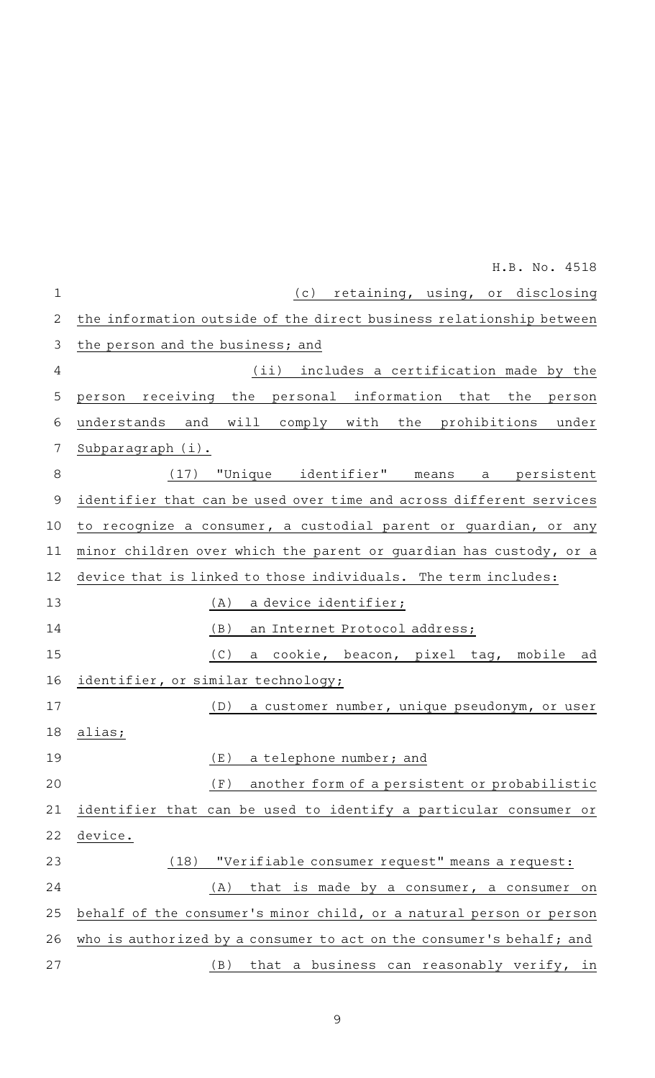|              | H.B. No. 4518                                                        |
|--------------|----------------------------------------------------------------------|
| $\mathbf 1$  | (c) retaining, using, or disclosing                                  |
| $\mathbf{2}$ | the information outside of the direct business relationship between  |
| 3            | the person and the business; and                                     |
| 4            | (ii) includes a certification made by the                            |
| 5            | receiving the personal information that the<br>person<br>person      |
| 6            | understands and will comply with the prohibitions<br>under           |
| 7            | Subparagraph (i).                                                    |
| 8            | (17) "Unique identifier" means a persistent                          |
| 9            | identifier that can be used over time and across different services  |
| 10           | to recognize a consumer, a custodial parent or guardian, or any      |
| 11           | minor children over which the parent or guardian has custody, or a   |
| 12           | device that is linked to those individuals. The term includes:       |
| 13           | a device identifier;<br>(A)                                          |
| 14           | (B)<br>an Internet Protocol address;                                 |
| 15           | (C)<br>a cookie, beacon, pixel tag, mobile ad                        |
| 16           | identifier, or similar technology;                                   |
| 17           | (D)<br>a customer number, unique pseudonym, or user                  |
| 18           | alias;                                                               |
| 19           | (E)<br>a telephone number; and                                       |
| 20           | (F)<br>another form of a persistent or probabilistic                 |
| 21           | identifier that can be used to identify a particular consumer or     |
| 22           | device.                                                              |
| 23           | "Verifiable consumer request" means a request:<br>(18)               |
| 24           | (A)<br>that is made by a consumer, a consumer on                     |
| 25           | behalf of the consumer's minor child, or a natural person or person  |
| 26           | who is authorized by a consumer to act on the consumer's behalf; and |
| 27           | that a business can reasonably verify, in<br>(B)                     |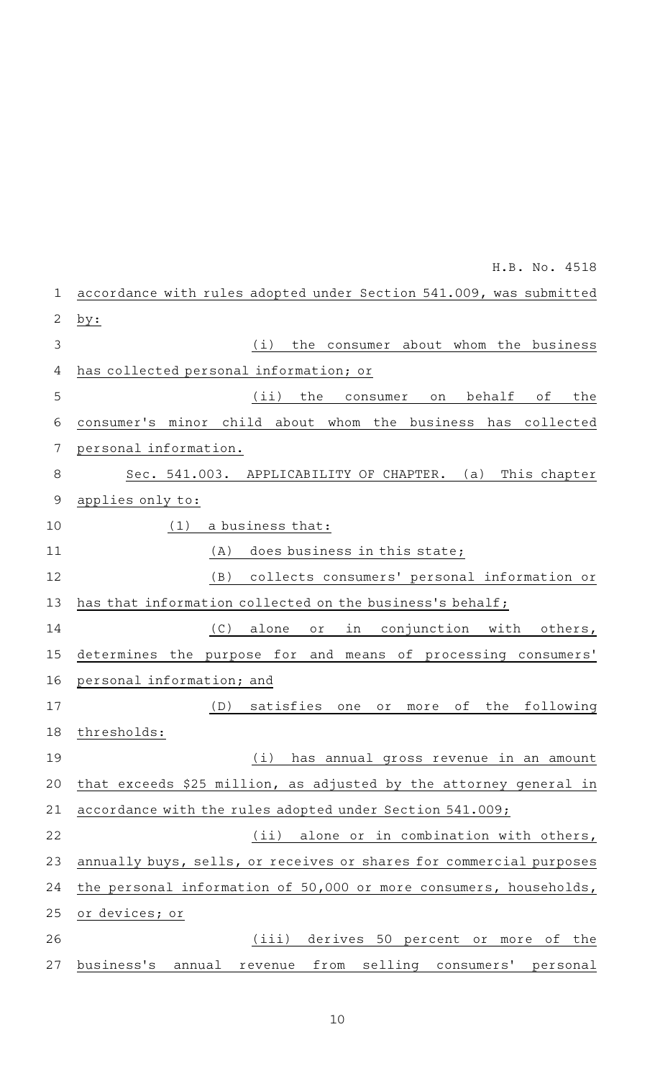| 1              | accordance with rules adopted under Section 541.009, was submitted           |
|----------------|------------------------------------------------------------------------------|
| 2              | by:                                                                          |
| 3              | (i)<br>the consumer about whom the business                                  |
| 4              | has collected personal information; or                                       |
| 5              | (iii)<br>behalf<br>the<br>оf<br>the<br>consumer<br>on                        |
| 6              | consumer's minor child about whom the business<br>has collected              |
| 7              | personal information.                                                        |
| 8              | Sec. 541.003.<br>This chapter<br>APPLICABILITY OF CHAPTER. (a)               |
| $\overline{9}$ | applies only to:                                                             |
| 10             | (1)<br>a business that:                                                      |
| 11             | (A)<br>does business in this state;                                          |
| 12             | (B)<br>collects consumers' personal information or                           |
| 13             | has that information collected on the business's behalf;                     |
| 14             | (C)<br>conjunction<br>with<br>alone<br>in<br>others,<br>$\circ$ r $\,$       |
| 15             | determines<br>the<br>and<br>of processing consumers'<br>purpose for<br>means |
| 16             | personal information; and                                                    |
| 17             | satisfies<br>following<br>(D)<br>οf<br>the<br>one<br>Оľ<br>more              |
| 18             | thresholds:                                                                  |
| 19             | (i) has annual gross revenue in an amount                                    |
| 20             | that exceeds \$25 million, as adjusted by the attorney general in            |
| 21             | accordance with the rules adopted under Section 541.009;                     |
| 22             | alone or in combination with others,<br>(iii)                                |
| 23             | annually buys, sells, or receives or shares for commercial purposes          |
| 24             | the personal information of 50,000 or more consumers, households,            |
| 25             | or devices; or                                                               |
| 26             | derives 50 percent or more of the<br>(iii)                                   |
| 27             | business's<br>from<br>selling consumers' personal<br>annual<br>revenue       |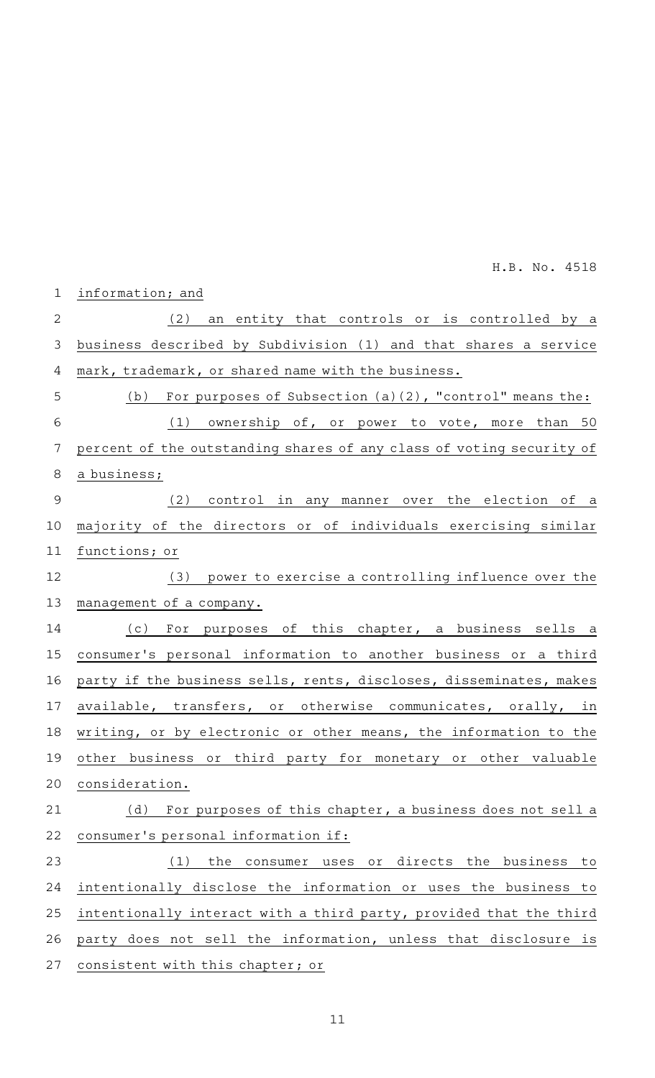| $\mathbf 1$    | information; and                                                     |
|----------------|----------------------------------------------------------------------|
| $\overline{2}$ | (2) an entity that controls or is controlled by a                    |
| 3              | business described by Subdivision (1) and that shares a service      |
| 4              | mark, trademark, or shared name with the business.                   |
| 5              | For purposes of Subsection (a)(2), "control" means the:<br>(b)       |
| 6              | (1) ownership of, or power to vote, more than 50                     |
| 7              | percent of the outstanding shares of any class of voting security of |
| 8              | a business;                                                          |
| 9              | (2) control in any manner over the election of a                     |
| 10             | majority of the directors or of individuals exercising similar       |
| 11             | functions; or                                                        |
| 12             | (3) power to exercise a controlling influence over the               |
| 13             | management of a company.                                             |
| 14             | (c) For purposes of this chapter, a business sells a                 |
| 15             | consumer's personal information to another business or a third       |
| 16             | party if the business sells, rents, discloses, disseminates, makes   |
| 17             | available, transfers, or otherwise communicates, orally, in          |
| 18             | writing, or by electronic or other means, the information to the     |
| 19             | other business or third party for monetary or other valuable         |
| 20             | consideration.                                                       |
| 21             | (d)<br>For purposes of this chapter, a business does not sell a      |
| 22             | consumer's personal information if:                                  |
| 23             | the consumer uses or directs the business<br>to<br>(1)               |
| 24             | intentionally disclose the information or uses the business to       |
| 25             | intentionally interact with a third party, provided that the third   |
| 26             | party does not sell the information, unless that disclosure is       |
| 27             | consistent with this chapter; or                                     |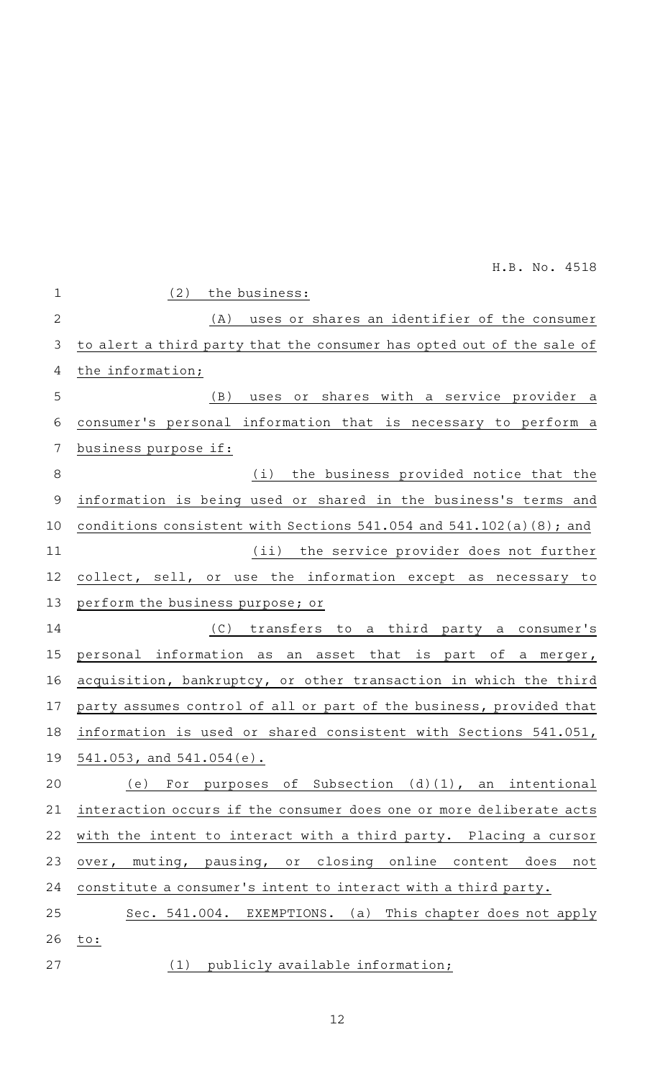| $\mathbf 1$   | (2)<br>the business:                                                    |
|---------------|-------------------------------------------------------------------------|
| $\mathbf{2}$  | uses or shares an identifier of the consumer<br>(A)                     |
| 3             | to alert a third party that the consumer has opted out of the sale of   |
| 4             | the information;                                                        |
| 5             | uses or shares with a service provider a<br>(B)                         |
| 6             | consumer's personal information that is necessary to perform a          |
| 7             | business purpose if:                                                    |
| 8             | the business provided notice that the<br>(i)                            |
| $\mathcal{G}$ | information is being used or shared in the business's terms and         |
| 10            | conditions consistent with Sections $541.054$ and $541.102(a)(8)$ ; and |
| 11            | (ii) the service provider does not further                              |
| 12            | collect, sell, or use the information except as necessary to            |
| 13            | perform the business purpose; or                                        |
| 14            | (C) transfers to<br>a third party a consumer's                          |
| 15            | information<br>an asset that is part of a merger,<br>personal<br>as     |
| 16            | acquisition, bankruptcy, or other transaction in which the third        |
| 17            | party assumes control of all or part of the business, provided that     |
| 18            | information is used or shared consistent with Sections 541.051,         |
| 19            | 541.053, and 541.054(e).                                                |
| 20            | of Subsection (d)(1), an intentional<br>(e)<br>For purposes             |
| 21            | interaction occurs if the consumer does one or more deliberate acts     |
| 22            | with the intent to interact with a third party. Placing a cursor        |
| 23            | muting, pausing, or closing online<br>content<br>does<br>over,<br>not   |
| 24            | constitute a consumer's intent to interact with a third party.          |
| 25            | Sec. 541.004.<br>EXEMPTIONS.<br>(a)<br>This chapter does not apply      |
| 26            | to:                                                                     |
| 27            | publicly available information;<br>(1)                                  |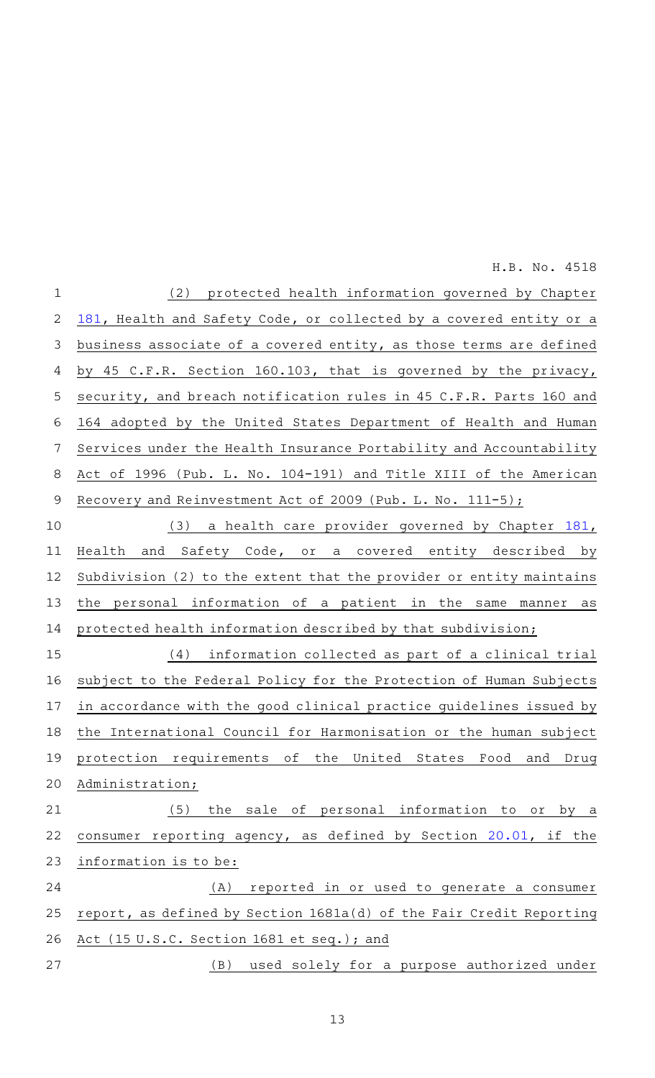(2) protected health information governed by Chapter [181,](http://www.statutes.legis.state.tx.us/GetStatute.aspx?Code=HS&Value=181&Date=3/8/2019) Health and Safety Code, or collected by a covered entity or a business associate of a covered entity, as those terms are defined by 45 C.F.R. Section 160.103, that is governed by the privacy, security, and breach notification rules in 45 C.F.R. Parts 160 and 164 adopted by the United States Department of Health and Human Services under the Health Insurance Portability and Accountability Act of 1996 (Pub. L. No. 104-191) and Title XIII of the American Recovery and Reinvestment Act of 2009 (Pub. L. No.  $111-5$ ); (3) a health care provider governed by Chapter [181](http://www.statutes.legis.state.tx.us/GetStatute.aspx?Code=HS&Value=181&Date=3/8/2019), 1 2 3 4 5 6 7 8 9 10

Health and Safety Code, or a covered entity described by Subdivision (2) to the extent that the provider or entity maintains the personal information of a patient in the same manner as protected health information described by that subdivision; 11 12 13 14

(4) information collected as part of a clinical trial subject to the Federal Policy for the Protection of Human Subjects in accordance with the good clinical practice guidelines issued by the International Council for Harmonisation or the human subject protection requirements of the United States Food and Drug Administration; 15 16 17 18 19 20

(5) the sale of personal information to or by a consumer reporting agency, as defined by Section [20.01,](http://www.statutes.legis.state.tx.us/GetStatute.aspx?Code=BC&Value=20.01&Date=3/8/2019) if the information is to be: 21 22 23

(A) reported in or used to generate a consumer report, as defined by Section 1681a(d) of the Fair Credit Reporting Act (15 U.S.C. Section 1681 et seq.); and 24 25 26

(B) used solely for a purpose authorized under 27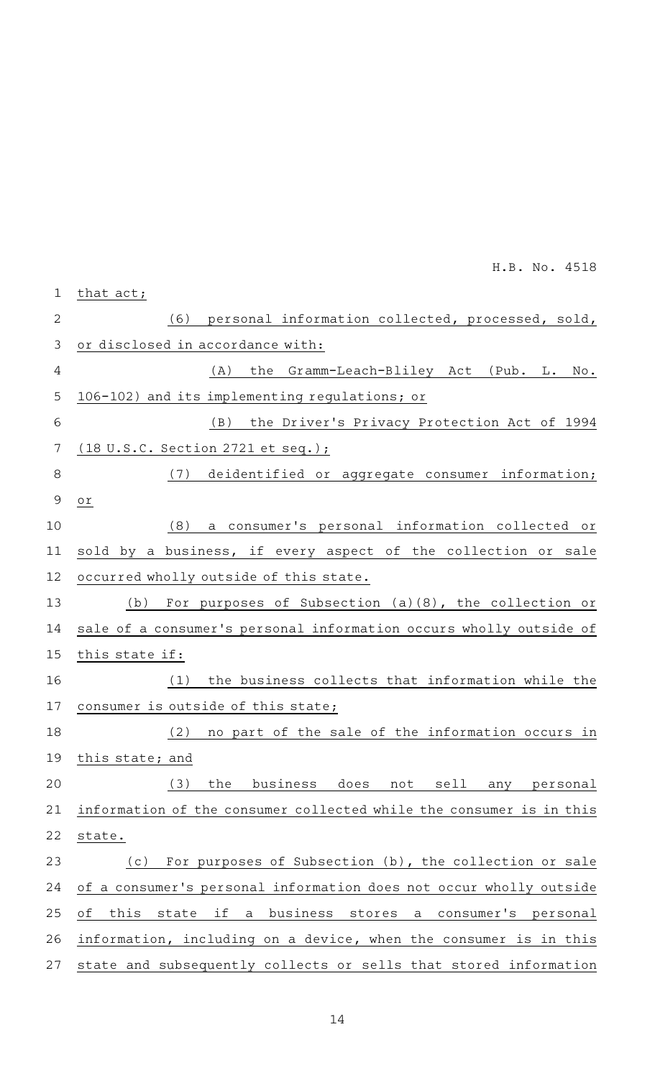|                | H.B. No. 4518                                                                               |
|----------------|---------------------------------------------------------------------------------------------|
| $\mathbf 1$    | that act;                                                                                   |
| $\overline{2}$ | personal information collected, processed, sold,<br>(6)                                     |
| 3              | or disclosed in accordance with:                                                            |
| 4              | the Gramm-Leach-Bliley Act (Pub. L. No.<br>(A)                                              |
| 5              | 106-102) and its implementing regulations; or                                               |
| 6              | (B) the Driver's Privacy Protection Act of 1994                                             |
| 7              | <u>(18 U.S.C. Section 2721 et seq.);</u>                                                    |
| 8              | (7) deidentified or aggregate consumer information;                                         |
| 9              | $\circ$ r $\,$                                                                              |
| 10             | (8)<br>a consumer's personal information collected or                                       |
| 11             | sold by a business, if every aspect of the collection or sale                               |
| 12             | occurred wholly outside of this state.                                                      |
| 13             | For purposes of Subsection (a)(8), the collection or<br>(b)                                 |
| 14             | sale of a consumer's personal information occurs wholly outside of                          |
| 15             | this state if:                                                                              |
| 16             | the business collects that information while the<br>(1)                                     |
| 17             | consumer is outside of this state;                                                          |
| 18             | no part of the sale of the information occurs in<br>(2)                                     |
| 19             | this state; and                                                                             |
| 20             | (3)<br>business does<br>the<br>not<br>sell<br>personal<br>any                               |
| 21             | information of the consumer collected while the consumer is in this                         |
| 22             | state.                                                                                      |
| 23             | For purposes of Subsection (b), the collection or sale<br>(c)                               |
| 24             | of a consumer's personal information does not occur wholly outside                          |
| 25             | оf<br>this<br>if<br>a business<br>state<br>stores<br>consumer's<br>$\mathsf{a}$<br>personal |
| 26             | information, including on a device, when the consumer is in this                            |
| 27             | state and subsequently collects or sells that stored information                            |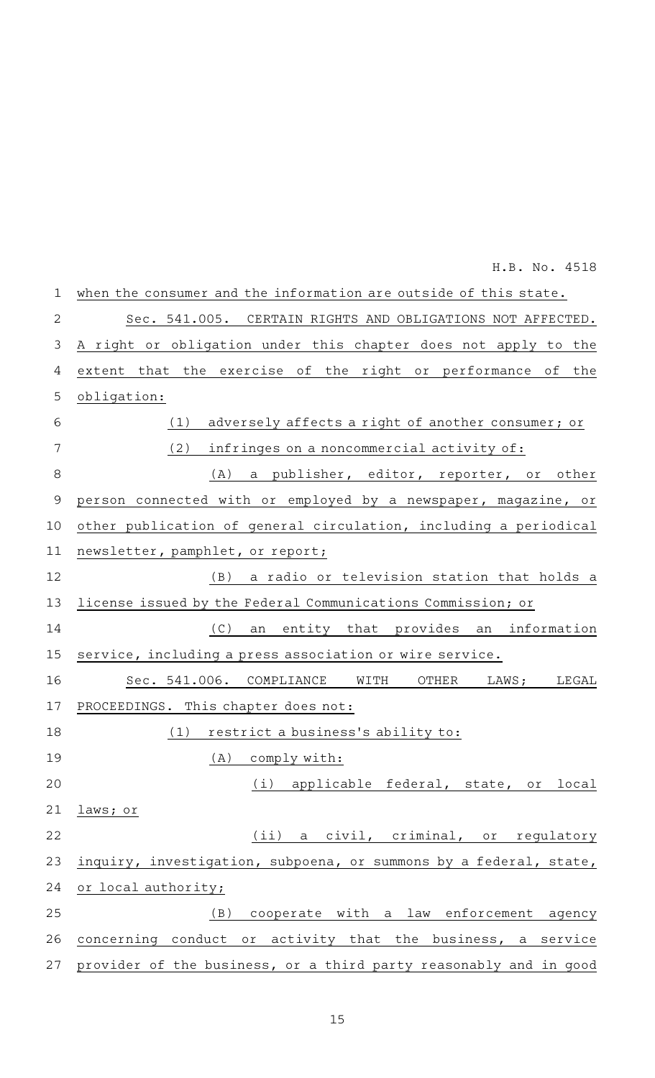| $\mathbf 1$    | when the consumer and the information are outside of this state.  |
|----------------|-------------------------------------------------------------------|
| $\overline{2}$ | Sec. 541.005. CERTAIN RIGHTS AND OBLIGATIONS NOT AFFECTED.        |
| 3              | A right or obligation under this chapter does not apply to the    |
| 4              | extent that the exercise of the right or performance of the       |
| 5              | obligation:                                                       |
| 6              | adversely affects a right of another consumer; or<br>(1)          |
| 7              | (2)<br>infringes on a noncommercial activity of:                  |
| 8              | (A)<br>a publisher, editor, reporter, or other                    |
| $\mathsf 9$    | person connected with or employed by a newspaper, magazine, or    |
| 10             | other publication of general circulation, including a periodical  |
| 11             | newsletter, pamphlet, or report;                                  |
| 12             | a radio or television station that holds a<br>(B)                 |
| 13             | license issued by the Federal Communications Commission; or       |
| 14             | (C)<br>entity that provides an information<br>an                  |
| 15             | service, including a press association or wire service.           |
| 16             | Sec. 541.006. COMPLIANCE WITH<br>OTHER<br>LEGAL<br>LAWS;          |
| 17             | PROCEEDINGS. This chapter does not:                               |
| 18             | (1)<br>restrict a business's ability to:                          |
| 19             | (A)<br>comply with:                                               |
| 20             | (i) applicable federal, state, or local                           |
| 21             | laws; or                                                          |
| 22             | (ii) a civil, criminal, or regulatory                             |
| 23             | inquiry, investigation, subpoena, or summons by a federal, state, |
| 24             | or local authority;                                               |
| 25             | cooperate with a law enforcement agency<br>(B)                    |
| 26             | concerning conduct or activity that the business, a service       |
| 27             | provider of the business, or a third party reasonably and in good |

15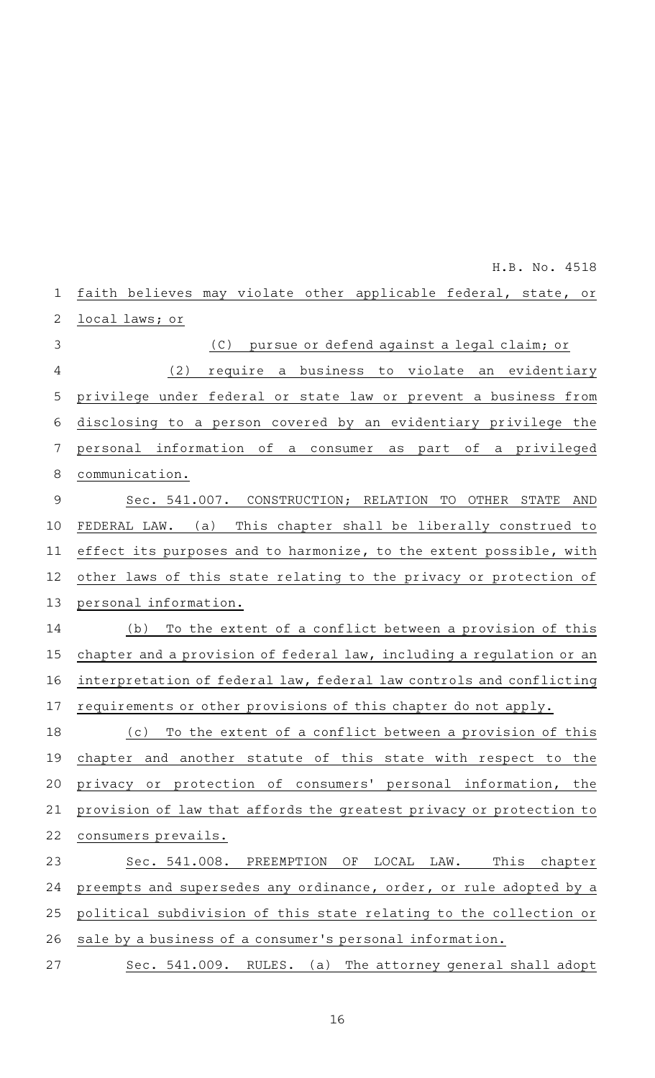faith believes may violate other applicable federal, state, or local laws; or (C) pursue or defend against a legal claim; or (2) require a business to violate an evidentiary privilege under federal or state law or prevent a business from disclosing to a person covered by an evidentiary privilege the personal information of a consumer as part of a privileged communication. Sec. 541.007. CONSTRUCTION; RELATION TO OTHER STATE AND FEDERAL LAW. (a) This chapter shall be liberally construed to effect its purposes and to harmonize, to the extent possible, with other laws of this state relating to the privacy or protection of personal information.  $(b)$  To the extent of a conflict between a provision of this chapter and a provision of federal law, including a regulation or an interpretation of federal law, federal law controls and conflicting requirements or other provisions of this chapter do not apply. (c) To the extent of a conflict between a provision of this chapter and another statute of this state with respect to the privacy or protection of consumers' personal information, the provision of law that affords the greatest privacy or protection to consumers prevails. Sec. 541.008. PREEMPTION OF LOCAL LAW. This chapter preempts and supersedes any ordinance, order, or rule adopted by a political subdivision of this state relating to the collection or sale by a business of a consumer 's personal information. Sec. 541.009. RULES. (a) The attorney general shall adopt 1 2 3 4 5 6 7 8 9 10 11 12 13 14 15 16 17 18 19 20 21 22 23 24 25 26 27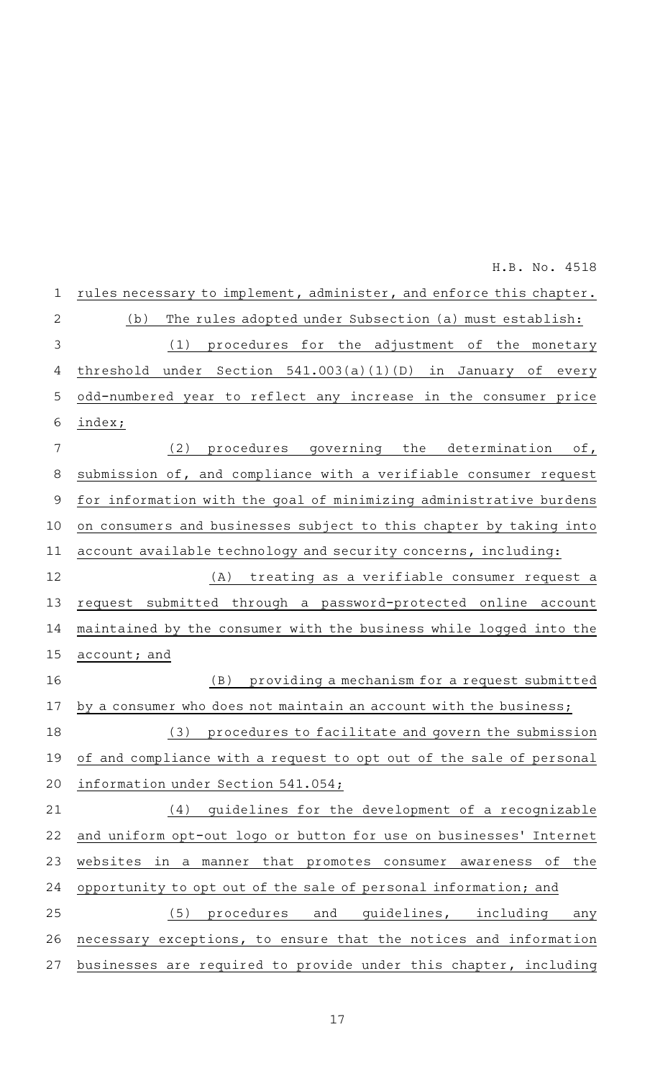| $\mathbf 1$ | rules necessary to implement, administer, and enforce this chapter.        |
|-------------|----------------------------------------------------------------------------|
| 2           | The rules adopted under Subsection (a) must establish:<br>(b)              |
| 3           | procedures for the adjustment<br>(1)<br>of the monetary                    |
| 4           | threshold under Section $541.003(a)(1)(D)$<br>in<br>January<br>оf<br>every |
| 5           | odd-numbered year to reflect any increase in the consumer price            |
| 6           | index;                                                                     |
| 7           | (2)<br>procedures governing the determination<br>$\circ$ f,                |
| 8           | submission of, and compliance with a verifiable consumer request           |
| $\mathsf 9$ | for information with the goal of minimizing administrative burdens         |
| 10          | on consumers and businesses subject to this chapter by taking into         |
| 11          | account available technology and security concerns, including:             |
| 12          | treating as a verifiable consumer request a<br>(A)                         |
| 13          | request submitted through a password-protected online<br>account           |
| 14          | maintained by the consumer with the business while logged into the         |
| 15          | account; and                                                               |
| 16          | providing a mechanism for a request submitted<br>(B)                       |
| 17          | by a consumer who does not maintain an account with the business;          |
| 18          | procedures to facilitate and govern the submission<br>(3)                  |
| 19          | of and compliance with a request to opt out of the sale of personal        |
| 20          | information under Section 541.054;                                         |
| 21          | (4)<br>guidelines for the development of a recognizable                    |
| 22          | and uniform opt-out logo or button for use on businesses' Internet         |
| 23          | websites in a manner that promotes consumer awareness<br>the<br>оf         |
| 24          | opportunity to opt out of the sale of personal information; and            |
| 25          | (5)<br>procedures and guidelines, including<br>any                         |
| 26          | necessary exceptions, to ensure that the notices and information           |
| 27          | businesses are required to provide under this chapter, including           |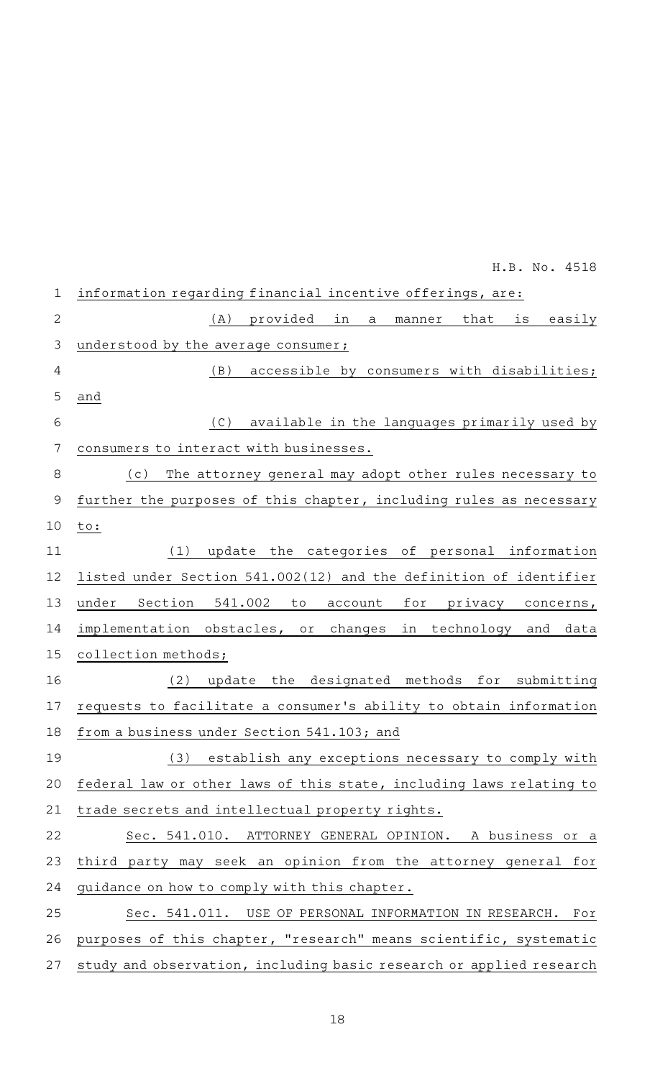|               | H.B. No. 4518                                                         |
|---------------|-----------------------------------------------------------------------|
| $\mathbf 1$   | information regarding financial incentive offerings, are:             |
| $\mathbf{2}$  | in<br>provided<br>easily<br>(A)<br>a<br>manner<br>that<br>is          |
| 3             | understood by the average consumer;                                   |
| 4             | (B)<br>accessible by consumers with disabilities;                     |
| 5             | and                                                                   |
| 6             | available in the languages primarily used by<br>(C)                   |
| 7             | consumers to interact with businesses.                                |
| $\,8\,$       | The attorney general may adopt other rules necessary to<br>(c)        |
| $\mathcal{G}$ | further the purposes of this chapter, including rules as necessary    |
| 10            | to:                                                                   |
| 11            | update the categories of personal information<br>(1)                  |
| 12            | listed under Section 541.002(12) and the definition of identifier     |
| 13            | Section<br>541.002<br>under<br>for privacy concerns,<br>to<br>account |
| 14            | implementation obstacles, or changes<br>in technology and<br>data     |
| 15            | collection methods;                                                   |
| 16            | (2)<br>update the designated methods for submitting                   |
| 17            | requests to facilitate a consumer's ability to obtain information     |
| 18            | from a business under Section 541.103; and                            |
| 19            | (3)<br>establish any exceptions necessary to comply with              |
| 20            | federal law or other laws of this state, including laws relating to   |
| 21            | trade secrets and intellectual property rights.                       |
| 22            | Sec. 541.010. ATTORNEY GENERAL OPINION. A business or a               |
| 23            | third party may seek an opinion from the attorney general for         |
| 24            | guidance on how to comply with this chapter.                          |
| 25            | Sec. 541.011. USE OF PERSONAL INFORMATION IN RESEARCH. For            |
| 26            | purposes of this chapter, "research" means scientific, systematic     |
| 27            | study and observation, including basic research or applied research   |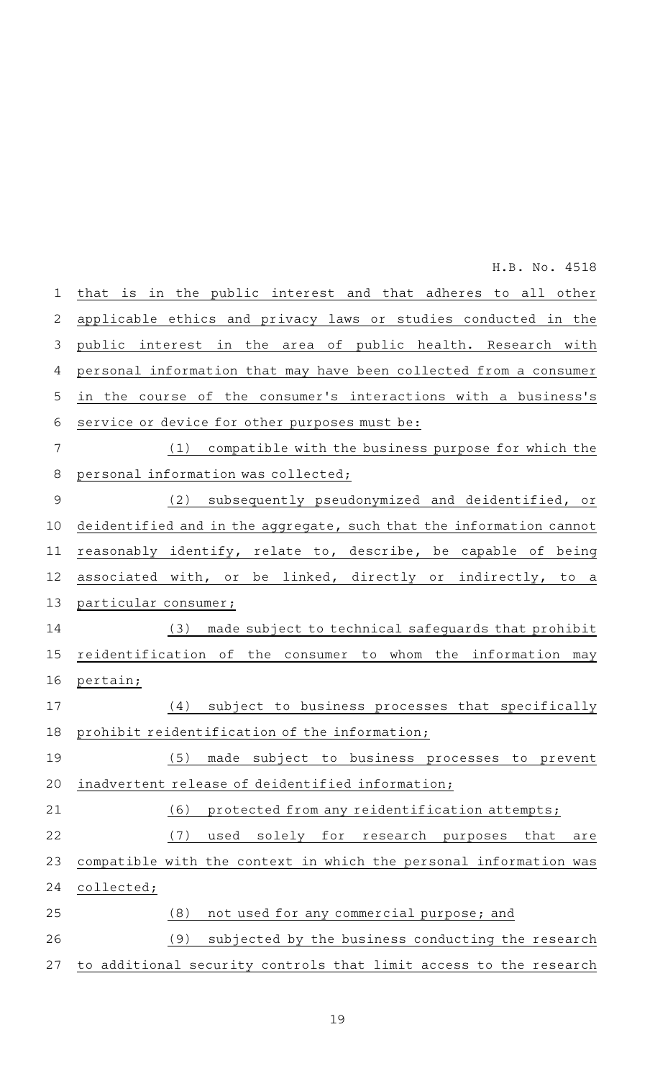|                | H.B. No. 4518                                                       |
|----------------|---------------------------------------------------------------------|
| 1              | that is in the public interest and that adheres to all other        |
| 2              | applicable ethics and privacy laws or studies conducted in the      |
| 3              | public interest in the area of public health. Research with         |
| 4              | personal information that may have been collected from a consumer   |
| 5              | in the course of the consumer's interactions with a business's      |
| 6              | service or device for other purposes must be:                       |
| $\overline{7}$ | (1) compatible with the business purpose for which the              |
| 8              | personal information was collected;                                 |
| $\mathsf 9$    | (2) subsequently pseudonymized and deidentified, or                 |
| 10             | deidentified and in the aggregate, such that the information cannot |
| 11             | reasonably identify, relate to, describe, be capable of being       |
| 12             | associated with, or be linked, directly or indirectly, to a         |
| 13             | particular consumer;                                                |
| 14             | (3) made subject to technical safeguards that prohibit              |
| 15             | reidentification of the consumer to whom the information may        |
| 16             | pertain;                                                            |
| 17             | (4) subject to business processes that specifically                 |
| 18             | prohibit reidentification of the information;                       |
| 19             | (5)<br>made subject to business processes to prevent                |
| 20             | inadvertent release of deidentified information;                    |
| 21             | protected from any reidentification attempts;<br>(6)                |
| 22             | (7)<br>used<br>solely<br>for<br>research<br>purposes<br>that<br>are |
| 23             | compatible with the context in which the personal information was   |
| 24             | collected;                                                          |
| 25             | (8)<br>not used for any commercial purpose; and                     |
| 26             | (9)<br>subjected by the business conducting the research            |
| 27             | to additional security controls that limit access to the research   |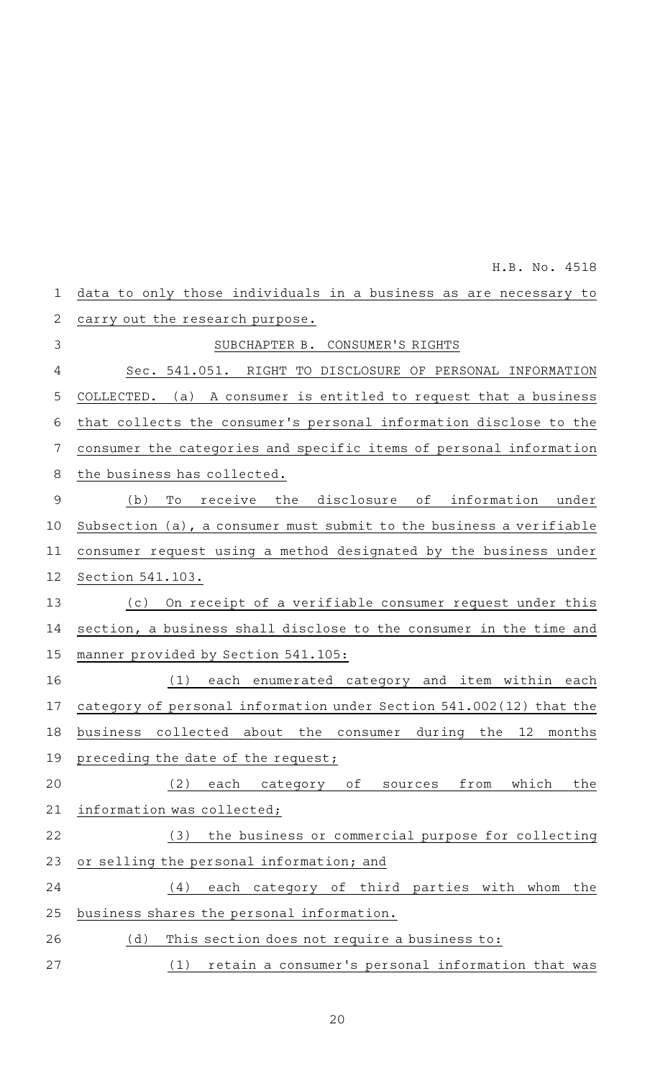|              | H.B. No. 4518                                                       |
|--------------|---------------------------------------------------------------------|
| $\mathbf 1$  | data to only those individuals in a business as are necessary to    |
| $\mathbf{2}$ | carry out the research purpose.                                     |
| 3            | SUBCHAPTER B. CONSUMER'S RIGHTS                                     |
| 4            | Sec. 541.051. RIGHT TO DISCLOSURE OF PERSONAL INFORMATION           |
| 5            | COLLECTED. (a) A consumer is entitled to request that a business    |
| 6            | that collects the consumer's personal information disclose to the   |
| 7            | consumer the categories and specific items of personal information  |
| 8            | the business has collected.                                         |
| $\mathsf 9$  | receive the disclosure of information under<br>(b)<br>Tо            |
| 10           | Subsection (a), a consumer must submit to the business a verifiable |
| 11           | consumer request using a method designated by the business under    |
| 12           | Section 541.103.                                                    |
| 13           | On receipt of a verifiable consumer request under this<br>(c)       |
| 14           | section, a business shall disclose to the consumer in the time and  |
| 15           | manner provided by Section 541.105:                                 |
| 16           | (1)<br>each enumerated category and item within each                |
| 17           | category of personal information under Section 541.002(12) that the |
| 18           | business collected about the consumer<br>12<br>during the<br>months |
| 19           | preceding the date of the request;                                  |
| 20           | (2)<br>each<br>from<br>which<br>category<br>of<br>the<br>sources    |
| 21           | information was collected;                                          |
| 22           | the business or commercial purpose for collecting<br>(3)            |
| 23           | or selling the personal information; and                            |
| 24           | each category of third parties with whom the<br>(4)                 |
| 25           | business shares the personal information.                           |
| 26           | (d)<br>This section does not require a business to:                 |
| 27           | retain a consumer's personal information that was<br>(1)            |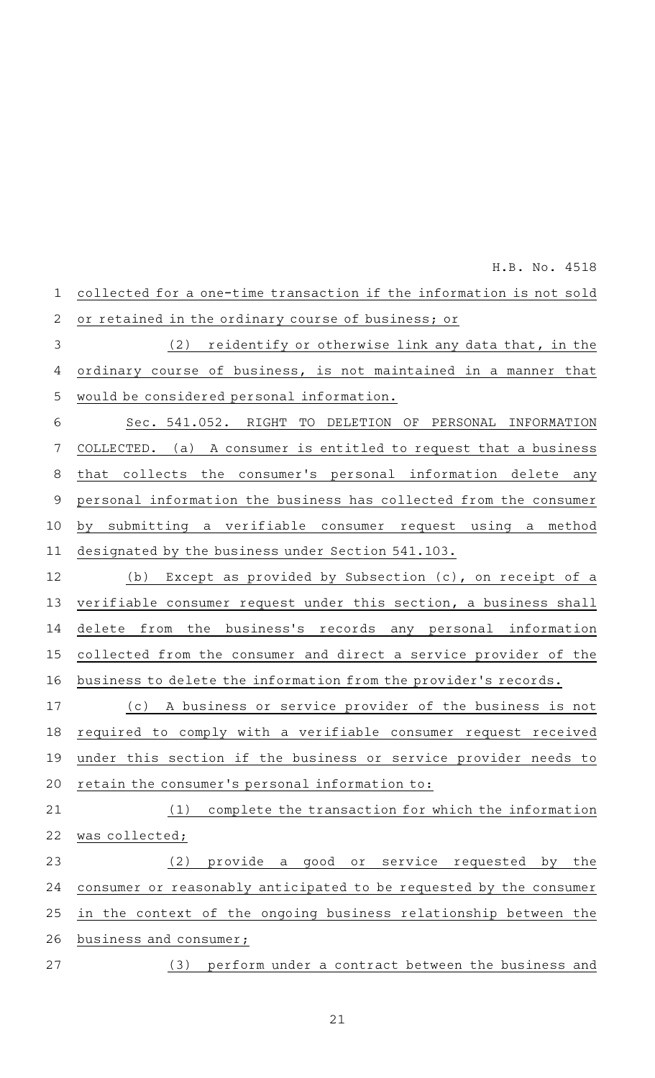|                | 11.D. 110. IJIU                                                     |
|----------------|---------------------------------------------------------------------|
| $\mathbf 1$    | collected for a one-time transaction if the information is not sold |
| $\overline{2}$ | or retained in the ordinary course of business; or                  |
| $\mathsf 3$    | reidentify or otherwise link any data that, in the<br>(2)           |
| 4              | ordinary course of business, is not maintained in a manner that     |
| 5              | would be considered personal information.                           |
| 6              | Sec. 541.052. RIGHT TO DELETION OF PERSONAL INFORMATION             |
| 7              | COLLECTED. (a) A consumer is entitled to request that a business    |
| 8              | collects the consumer's personal information delete any<br>that     |
| $\mathsf 9$    | personal information the business has collected from the consumer   |
| 10             | submitting a verifiable consumer request using a method<br>by       |
| 11             | designated by the business under Section 541.103.                   |
| 12             | Except as provided by Subsection (c), on receipt of a<br>(b)        |
| 13             | verifiable consumer request under this section, a business shall    |
| 14             | delete from the business's records any personal information         |
| 15             | collected from the consumer and direct a service provider of the    |
| 16             | business to delete the information from the provider's records.     |
| 17             | A business or service provider of the business is not<br>( C )      |
| 18             | required to comply with a verifiable consumer request received      |
| 19             | under this section if the business or service provider needs to     |
| 20             | retain the consumer's personal information to:                      |
| 21             | complete the transaction for which the information<br>(1)           |
| 22             | was collected;                                                      |
| 23             | (2)<br>provide a good or service requested by the                   |
| 24             | consumer or reasonably anticipated to be requested by the consumer  |
| 25             | in the context of the ongoing business relationship between the     |
| 26             | business and consumer;                                              |
| 27             | (3) perform under a contract between the business and               |
|                |                                                                     |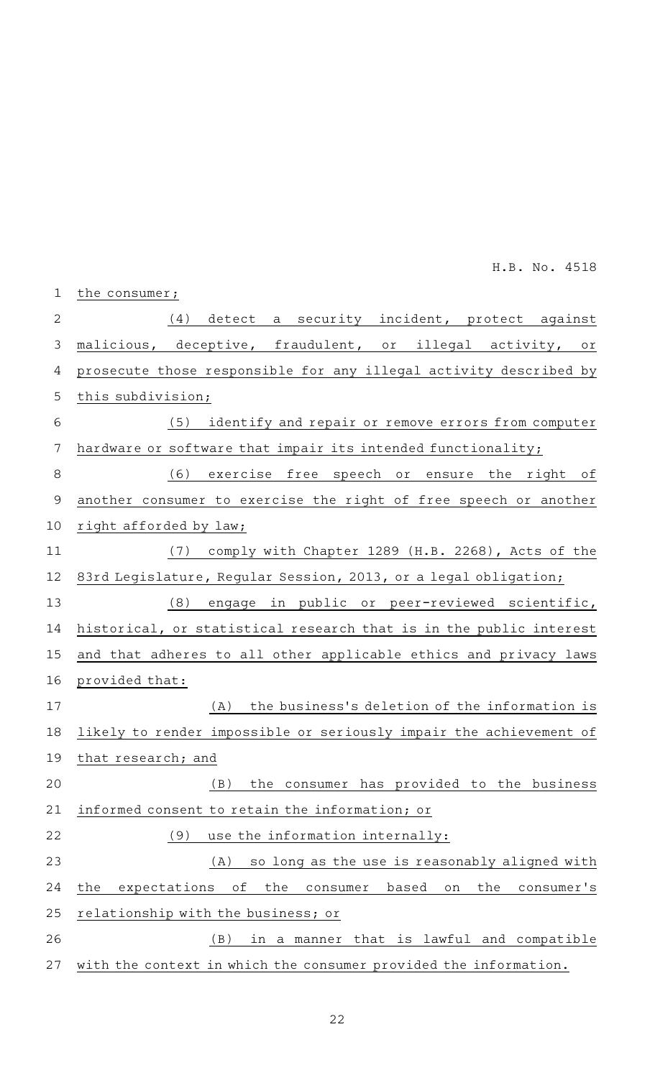| $\mathbf 1$    | the consumer;                                                                    |
|----------------|----------------------------------------------------------------------------------|
| $\overline{2}$ | (4) detect a security incident, protect against                                  |
| 3              | malicious, deceptive, fraudulent, or illegal activity, or                        |
| 4              | prosecute those responsible for any illegal activity described by                |
| 5              | this subdivision;                                                                |
| 6              | identify and repair or remove errors from computer<br>(5)                        |
| 7              | hardware or software that impair its intended functionality;                     |
| 8              | exercise free speech or ensure the right of<br>(6)                               |
| $\overline{9}$ | another consumer to exercise the right of free speech or another                 |
| 10             | right afforded by law;                                                           |
| 11             | (7)<br>comply with Chapter 1289 (H.B. 2268), Acts of the                         |
| 12             | 83rd Legislature, Regular Session, 2013, or a legal obligation;                  |
| 13             | (8)<br>engage in public or peer-reviewed scientific,                             |
| 14             | historical, or statistical research that is in the public interest               |
| 15             | and that adheres to all other applicable ethics and privacy laws                 |
| 16             | provided that:                                                                   |
| 17             | the business's deletion of the information is<br>(A)                             |
| 18             | likely to render impossible or seriously impair the achievement of               |
| 19             | that research; and                                                               |
| 20             | the consumer has provided to the business<br>(B)                                 |
| 21             | informed consent to retain the information; or                                   |
| 22             | (9)<br>use the information internally:                                           |
| 23             | (A)<br>so long as the use is reasonably aligned with                             |
| 24             | the<br>consumer's<br>the<br>expectations<br>оf<br>the<br>based<br>consumer<br>on |
| 25             | relationship with the business; or                                               |
| 26             | (B)<br>that is lawful and compatible<br>in a manner                              |
| 27             | with the context in which the consumer provided the information.                 |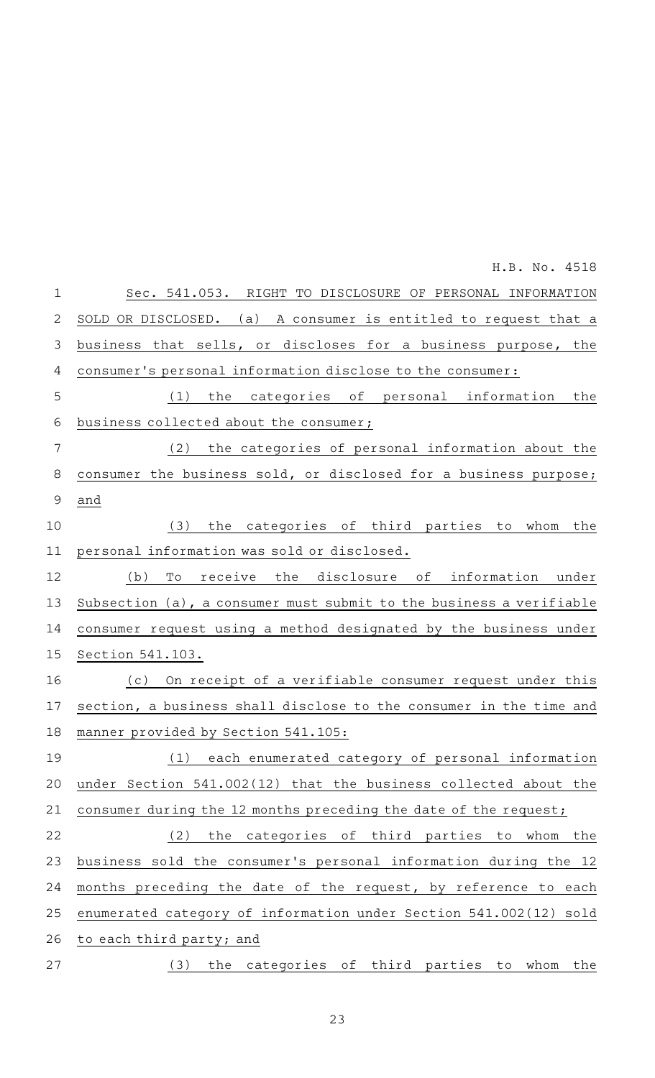Sec. 541.053. RIGHT TO DISCLOSURE OF PERSONAL INFORMATION SOLD OR DISCLOSED. (a) A consumer is entitled to request that a business that sells, or discloses for a business purpose, the consumer 's personal information disclose to the consumer:  $(1)$  the categories of personal information the business collected about the consumer;  $(2)$  the categories of personal information about the consumer the business sold, or disclosed for a business purpose; and  $(3)$  the categories of third parties to whom the personal information was sold or disclosed. (b) To receive the disclosure of information under Subsection (a), a consumer must submit to the business a verifiable consumer request using a method designated by the business under Section 541.103. (c) On receipt of a verifiable consumer request under this section, a business shall disclose to the consumer in the time and manner provided by Section 541.105: (1) each enumerated category of personal information under Section 541.002(12) that the business collected about the consumer during the 12 months preceding the date of the request;  $(2)$  the categories of third parties to whom the business sold the consumer 's personal information during the 12 months preceding the date of the request, by reference to each enumerated category of information under Section 541.002(12) sold to each third party; and (3) the categories of third parties to whom the 1 2 3 4 5 6 7 8 9 10 11 12 13 14 15 16 17 18 19 20 21 22 23 24 25 26 27 H.B. No. 4518

23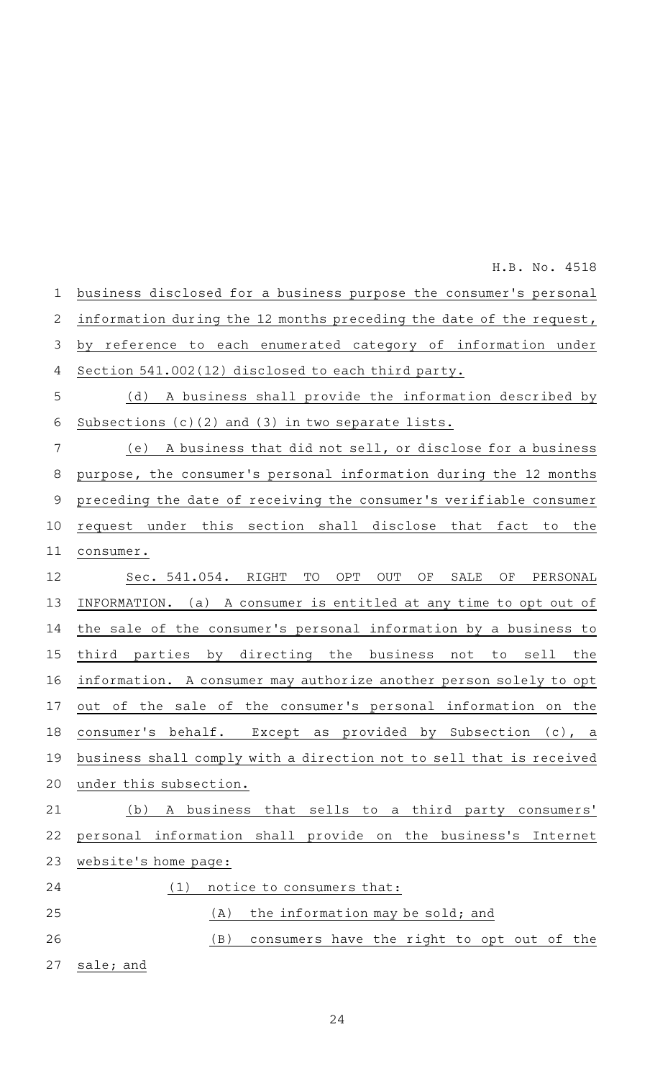business disclosed for a business purpose the consumer 's personal information during the 12 months preceding the date of the request, by reference to each enumerated category of information under Section 541.002(12) disclosed to each third party. (d) A business shall provide the information described by Subsections (c)(2) and (3) in two separate lists. (e) A business that did not sell, or disclose for a business purpose, the consumer 's personal information during the 12 months preceding the date of receiving the consumer 's verifiable consumer request under this section shall disclose that fact to the consumer. Sec. 541.054. RIGHT TO OPT OUT OF SALE OF PERSONAL INFORMATION. (a) A consumer is entitled at any time to opt out of the sale of the consumer 's personal information by a business to third parties by directing the business not to sell the information. A consumer may authorize another person solely to opt out of the sale of the consumer 's personal information on the consumer 's behalf. Except as provided by Subsection (c), a business shall comply with a direction not to sell that is received under this subsection. (b) A business that sells to a third party consumers' personal information shall provide on the business's Internet website 's home page:  $(1)$  notice to consumers that:  $(A)$  the information may be sold; and (B) consumers have the right to opt out of the sale; and 1 2 3 4 5 6 7 8 9 10 11 12 13 14 15 16 17 18 19 20 21 22 23 24 25 26 27

H.B. No. 4518

24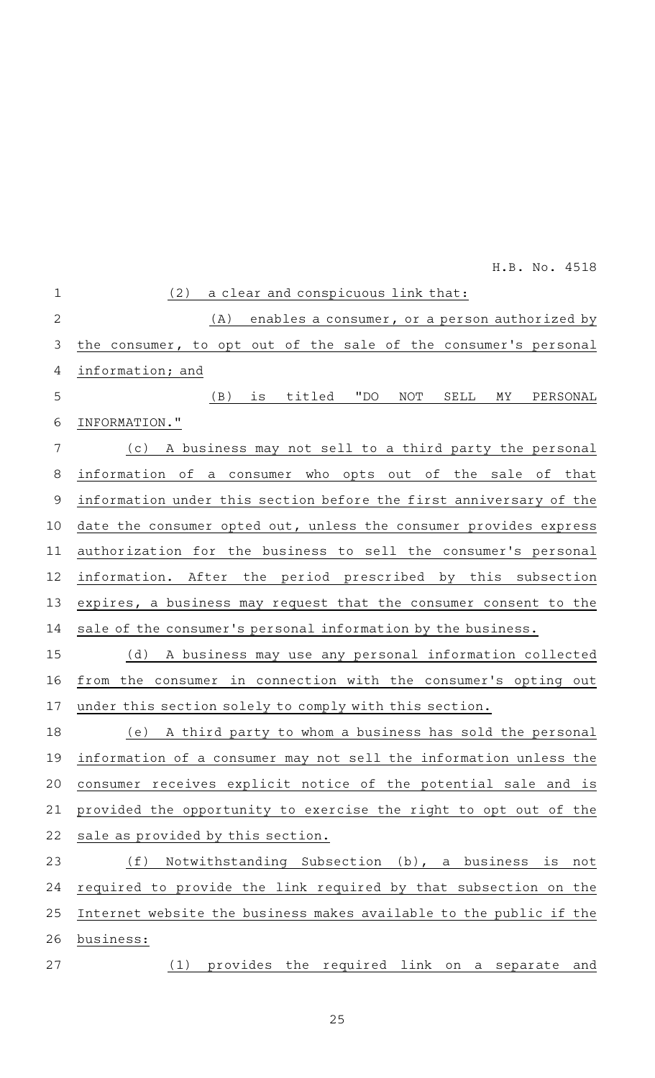| $\mathbf 1$    | (2)<br>a clear and conspicuous link that:                          |
|----------------|--------------------------------------------------------------------|
| $\overline{2}$ | enables a consumer, or a person authorized by<br>(A)               |
| 3              | the consumer, to opt out of the sale of the consumer's personal    |
| 4              | information; and                                                   |
| 5              | titled<br>"DO<br>(B)<br>is<br>NOT<br>SELL<br>MΥ<br>PERSONAL        |
| 6              | INFORMATION."                                                      |
| 7              | (c) A business may not sell to a third party the personal          |
| 8              | information of a consumer who opts out of the sale of that         |
| 9              | information under this section before the first anniversary of the |
| 10             | date the consumer opted out, unless the consumer provides express  |
| 11             | authorization for the business to sell the consumer's personal     |
| 12             | information. After the period prescribed by this subsection        |
| 13             | expires, a business may request that the consumer consent to the   |
| 14             | sale of the consumer's personal information by the business.       |
| 15             | A business may use any personal information collected<br>(d)       |
| 16             | from the consumer in connection with the consumer's opting out     |
| 17             | under this section solely to comply with this section.             |
| 18             | A third party to whom a business has sold the personal<br>(e)      |
| 19             | information of a consumer may not sell the information unless the  |
| 20             | consumer receives explicit notice of the potential sale and is     |
| 21             | provided the opportunity to exercise the right to opt out of the   |
| 22             | sale as provided by this section.                                  |
| 23             | Notwithstanding Subsection (b), a business is not<br>(f)           |
| 24             | required to provide the link required by that subsection on the    |
| 25             | Internet website the business makes available to the public if the |
| 26             | business:                                                          |
| 27             | provides the required link on a separate and<br>(1)                |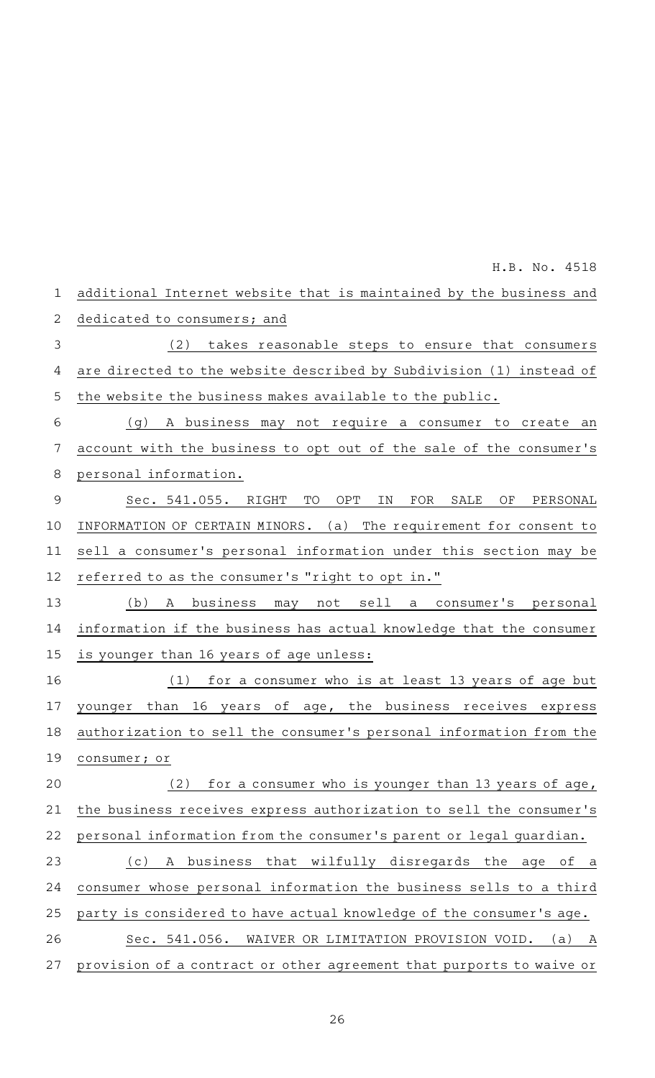additional Internet website that is maintained by the business and dedicated to consumers; and (2) takes reasonable steps to ensure that consumers are directed to the website described by Subdivision (1) instead of the website the business makes available to the public. (g) A business may not require a consumer to create an account with the business to opt out of the sale of the consumer 's personal information. Sec. 541.055. RIGHT TO OPT IN FOR SALE OF PERSONAL INFORMATION OF CERTAIN MINORS. (a) The requirement for consent to sell a consumer's personal information under this section may be referred to as the consumer 's "right to opt in." (b) A business may not sell a consumer's personal information if the business has actual knowledge that the consumer is younger than 16 years of age unless: (1) for a consumer who is at least 13 years of age but younger than 16 years of age, the business receives express authorization to sell the consumer 's personal information from the consumer; or (2) for a consumer who is younger than 13 years of age, the business receives express authorization to sell the consumer 's personal information from the consumer 's parent or legal guardian. (c)AAA business that wilfully disregards the age of a consumer whose personal information the business sells to a third party is considered to have actual knowledge of the consumer 's age. Sec. 541.056. WAIVER OR LIMITATION PROVISION VOID. (a) A provision of a contract or other agreement that purports to waive or 1 2 3 4 5 6 7 8 9 10 11 12 13 14 15 16 17 18 19 20 21 22 23 24 25 26 27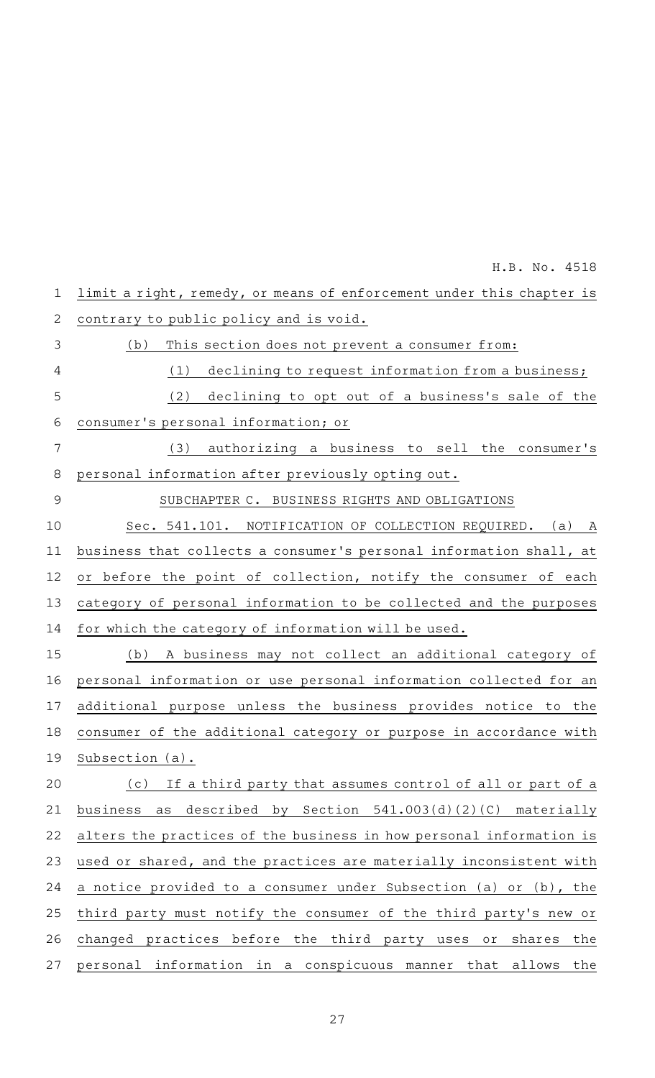limit a right, remedy, or means of enforcement under this chapter is contrary to public policy and is void. (b) This section does not prevent a consumer from: (1) declining to request information from a business; (2) declining to opt out of a business's sale of the consumer 's personal information; or  $(3)$  authorizing a business to sell the consumer's personal information after previously opting out. SUBCHAPTER C. BUSINESS RIGHTS AND OBLIGATIONS Sec. 541.101. NOTIFICATION OF COLLECTION REQUIRED. (a) A business that collects a consumer 's personal information shall, at or before the point of collection, notify the consumer of each category of personal information to be collected and the purposes for which the category of information will be used. (b) A business may not collect an additional category of personal information or use personal information collected for an additional purpose unless the business provides notice to the consumer of the additional category or purpose in accordance with Subsection (a). (c) If a third party that assumes control of all or part of a business as described by Section 541.003(d)(2)(C) materially alters the practices of the business in how personal information is used or shared, and the practices are materially inconsistent with a notice provided to a consumer under Subsection (a) or (b), the third party must notify the consumer of the third party's new or changed practices before the third party uses or shares the personal information in a conspicuous manner that allows the 1 2 3 4 5 6 7 8 9 10 11 12 13 14 15 16 17 18 19 20 21 22 23 24 25 26 27

H.B. No. 4518

27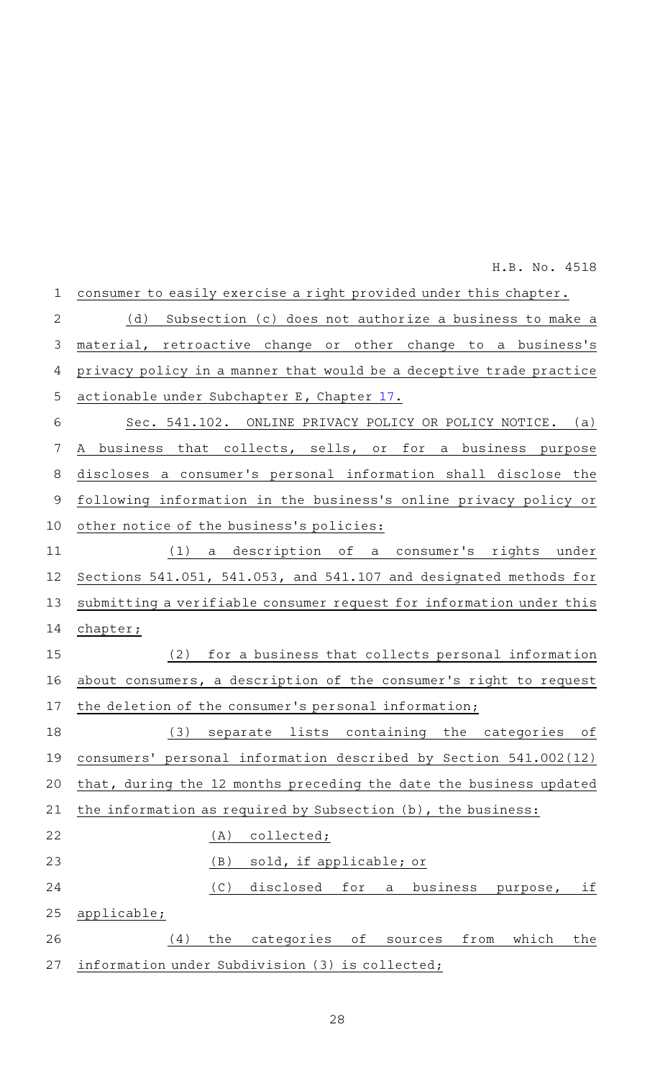| 1           | consumer to easily exercise a right provided under this chapter.    |
|-------------|---------------------------------------------------------------------|
| 2           | (d) Subsection (c) does not authorize a business to make a          |
| 3           | material, retroactive change or other change to a business's        |
| 4           | privacy policy in a manner that would be a deceptive trade practice |
| 5           | actionable under Subchapter E, Chapter 17.                          |
| 6           | Sec. 541.102. ONLINE PRIVACY POLICY OR POLICY NOTICE. (a)           |
| 7           | A business that collects, sells, or for a business purpose          |
| 8           | discloses a consumer's personal information shall disclose the      |
| $\mathsf 9$ | following information in the business's online privacy policy or    |
| 10          | other notice of the business's policies:                            |
| 11          | (1) a description of a consumer's rights under                      |
| 12          | Sections 541.051, 541.053, and 541.107 and designated methods for   |
| 13          | submitting a verifiable consumer request for information under this |
| 14          | $ch$ apter;                                                         |
| 15          | (2)<br>for a business that collects personal information            |
| 16          | about consumers, a description of the consumer's right to request   |
| 17          | the deletion of the consumer's personal information;                |
| 18          | (3) separate lists containing the categories of                     |
| 19          | consumers' personal information described by Section 541.002(12)    |
| 20          | that, during the 12 months preceding the date the business updated  |
| 21          | the information as required by Subsection (b), the business:        |
| 22          | collected;<br>(A)                                                   |
| 23          | sold, if applicable; or<br>(B)                                      |
| 24          | (C)<br>disclosed<br>for<br>business<br>if<br>a<br>purpose,          |
| 25          | applicable;                                                         |
| 26          | from<br>categories<br>which<br>the<br>(4)<br>the<br>оf<br>sources   |
| 27          | information under Subdivision (3) is collected;                     |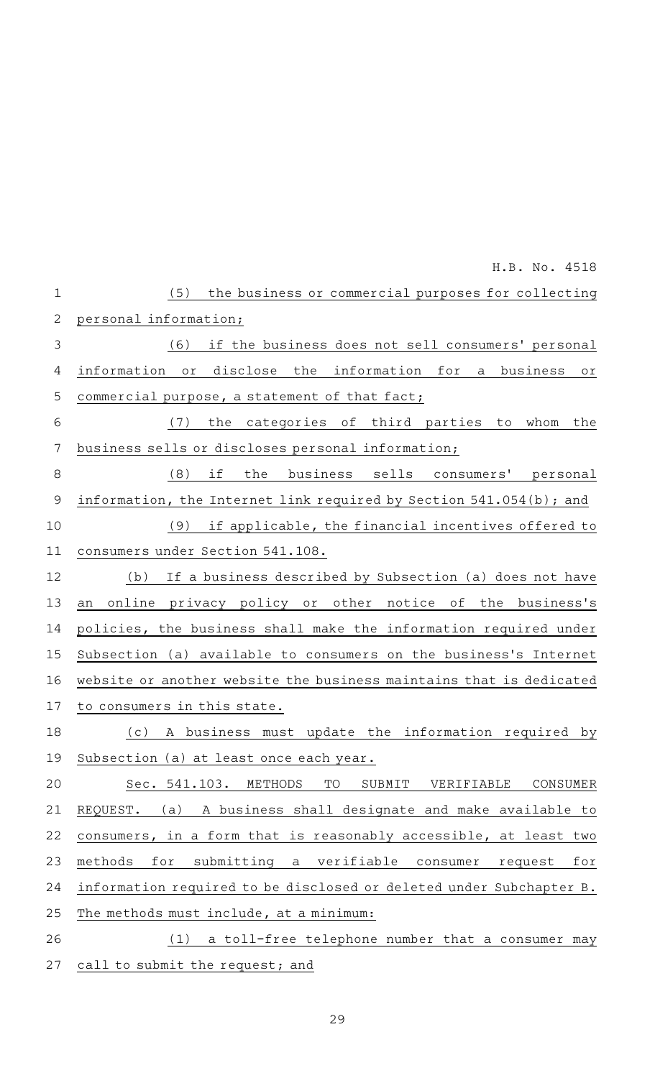|                | H.B. No. 4518                                                                        |
|----------------|--------------------------------------------------------------------------------------|
| $\mathbf 1$    | (5)<br>the business or commercial purposes for collecting                            |
| $\overline{2}$ | personal information;                                                                |
| 3              | if the business does not sell consumers' personal<br>(6)                             |
| 4              | disclose the information for<br>information<br>business<br>or<br>a<br>$\circ$ r $\,$ |
| 5              | commercial purpose, a statement of that fact;                                        |
| 6              | the categories of third parties to whom<br>(7)<br>the                                |
| 7              | business sells or discloses personal information;                                    |
| 8              | (8) if<br>the business sells consumers' personal                                     |
| $\mathcal{G}$  | information, the Internet link required by Section 541.054(b); and                   |
| 10             | if applicable, the financial incentives offered to<br>(9)                            |
| 11             | consumers under Section 541.108.                                                     |
| 12             | If a business described by Subsection (a) does not have<br>(b)                       |
| 13             | online privacy policy or other notice of the business's<br>an                        |
| 14             | policies, the business shall make the information required under                     |
| 15             | Subsection (a) available to consumers on the business's Internet                     |
| 16             | website or another website the business maintains that is dedicated                  |
| 17             | to consumers in this state.                                                          |
| 18             | A business must update the information required by<br>(c)                            |
| 19             | Subsection (a) at least once each year.                                              |
| 20             | METHODS<br>TO<br>VERIFIABLE<br>CONSUMER<br>Sec. 541.103.<br>SUBMIT                   |
| 21             | A business shall designate and make available to<br>REQUEST.<br>(a)                  |
| 22             | consumers, in a form that is reasonably accessible, at least two                     |
| 23             | submitting a<br>methods<br>for<br>verifiable<br>consumer<br>request<br>for           |
| 24             | information required to be disclosed or deleted under Subchapter B.                  |
| 25             | The methods must include, at a minimum:                                              |
| 26             | a toll-free telephone number that a consumer may<br>(1)                              |
| 27             | call to submit the request; and                                                      |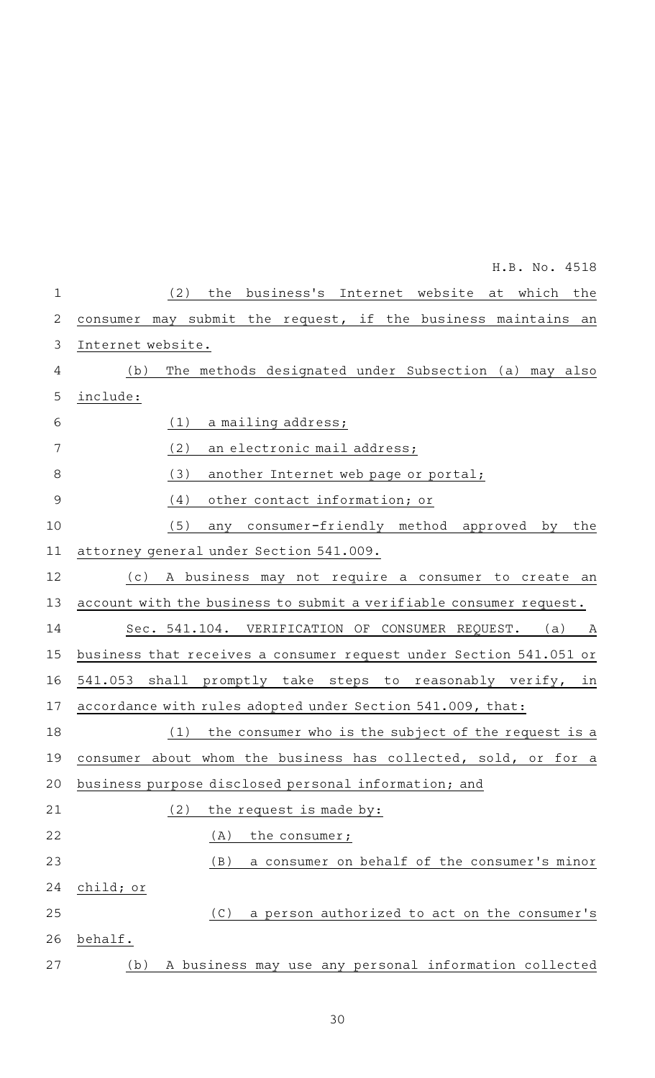|                | H.B. No. 4518                                                         |
|----------------|-----------------------------------------------------------------------|
| $\mathbf 1$    | the business's Internet website at which the<br>(2)                   |
| $\overline{2}$ | consumer may submit the request, if the business maintains an         |
| 3              | Internet website.                                                     |
| 4              | The methods designated under Subsection (a) may also<br>(b)           |
| 5              | include:                                                              |
| 6              | (1)<br>a mailing address;                                             |
| 7              | (2)<br>an electronic mail address;                                    |
| 8              | (3)<br>another Internet web page or portal;                           |
| $\overline{9}$ | (4)<br>other contact information; or                                  |
| 10             | (5)<br>any consumer-friendly method approved by<br>the                |
| 11             | attorney general under Section 541.009.                               |
| 12             | A business may not require a consumer to create an<br>(c)             |
| 13             | account with the business to submit a verifiable consumer request.    |
| 14             | Sec. 541.104. VERIFICATION OF CONSUMER REQUEST.<br>(a)<br>$\mathbb A$ |
| 15             | business that receives a consumer request under Section 541.051 or    |
| 16             | 541.053 shall promptly take steps to reasonably verify,<br>in         |
| 17             | accordance with rules adopted under Section 541.009, that:            |
| 18             | the consumer who is the subject of the request is a<br>(1)            |
| 19             | consumer about whom the business has collected, sold, or for a        |
| 20             | business purpose disclosed personal information; and                  |
| 21             | (2)<br>the request is made by:                                        |
| 22             | (A)<br>the consumer;                                                  |
| 23             | a consumer on behalf of the consumer's minor<br>(B)                   |
| 24             | child; or                                                             |
| 25             | a person authorized to act on the consumer's<br>(C)                   |
| 26             | behalf.                                                               |
| 27             | A business may use any personal information collected<br>(b)          |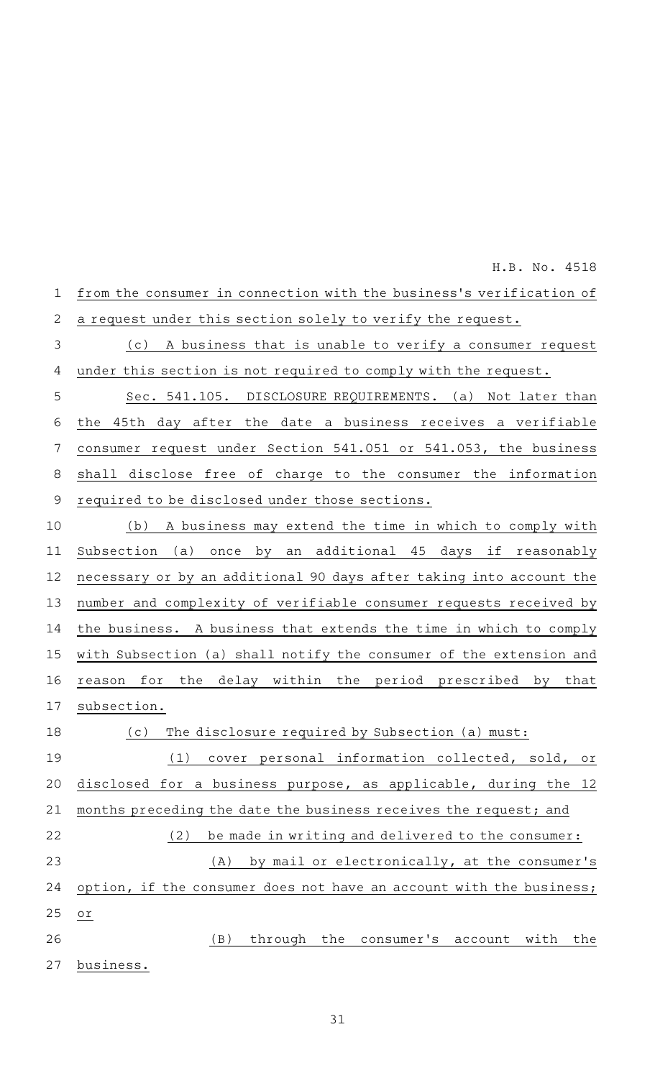from the consumer in connection with the business 's verification of a request under this section solely to verify the request. (c) A business that is unable to verify a consumer request under this section is not required to comply with the request. Sec. 541.105. DISCLOSURE REQUIREMENTS. (a) Not later than 1 2 3 4 5

the 45th day after the date a business receives a verifiable consumer request under Section 541.051 or 541.053, the business shall disclose free of charge to the consumer the information required to be disclosed under those sections. 6 7 8 9

(b) A business may extend the time in which to comply with Subsection (a) once by an additional 45 days if reasonably necessary or by an additional 90 days after taking into account the number and complexity of verifiable consumer requests received by the business. A business that extends the time in which to comply with Subsection (a) shall notify the consumer of the extension and reason for the delay within the period prescribed by that subsection. 10 11 12 13 14 15 16 17

(c) The disclosure required by Subsection (a) must: (1) cover personal information collected, sold, or disclosed for a business purpose, as applicable, during the 12 months preceding the date the business receives the request; and (2) be made in writing and delivered to the consumer:  $(A)$  by mail or electronically, at the consumer's option, if the consumer does not have an account with the business; or (B) through the consumer's account with the business. 18 19 20 21 22 23 24 25 26 27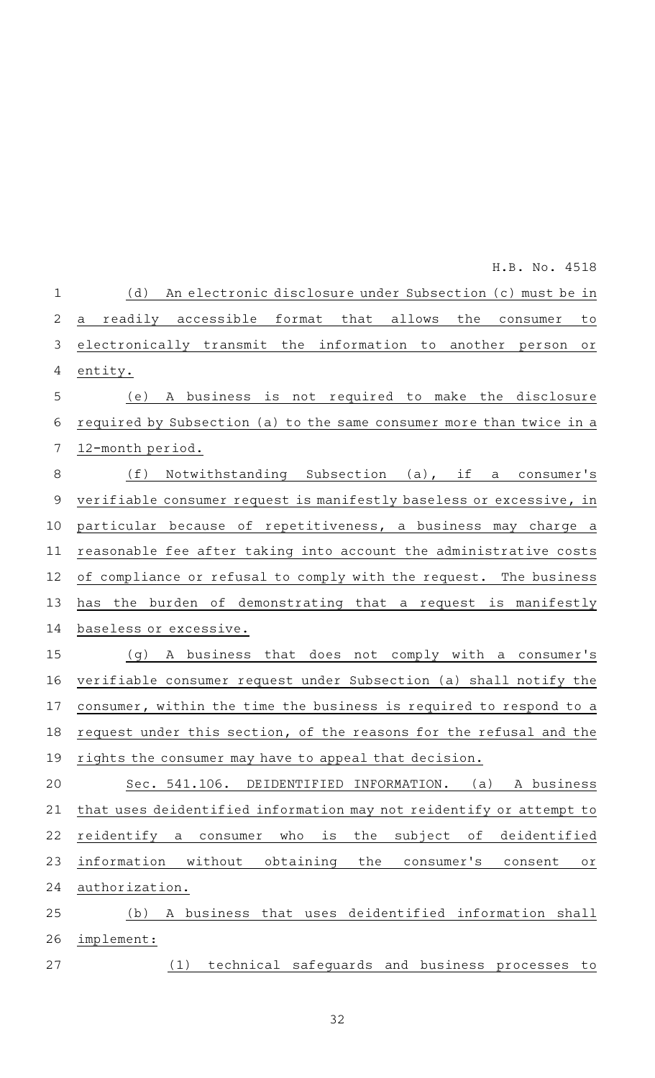| $\mathbf 1$    | An electronic disclosure under Subsection (c) must be in<br>(d)                  |
|----------------|----------------------------------------------------------------------------------|
| $\overline{2}$ | readily accessible format that allows<br>the<br>a<br>consumer<br>to              |
| 3              | electronically transmit the information to another<br>person<br>оr               |
| 4              | entity.                                                                          |
| 5              | (e)<br>A business is not required to make the disclosure                         |
| 6              | required by Subsection (a) to the same consumer more than twice in a             |
| 7              | 12-month period.                                                                 |
| 8              | (f)<br>Notwithstanding Subsection (a), if a consumer's                           |
| $\overline{9}$ | verifiable consumer request is manifestly baseless or excessive, in              |
| 10             | particular because of repetitiveness, a business may charge a                    |
| 11             | reasonable fee after taking into account the administrative costs                |
| 12             | of compliance or refusal to comply with the request. The business                |
| 13             | has the burden of demonstrating that a request is manifestly                     |
| 14             | baseless or excessive.                                                           |
| 15             | A business that does not comply with a consumer's<br>( q )                       |
| 16             | verifiable consumer request under Subsection (a) shall notify the                |
| 17             | consumer, within the time the business is required to respond to a               |
| 18             | request under this section, of the reasons for the refusal and the               |
|                | 19 rights the consumer may have to appeal that decision.                         |
| 20             | (a)<br>A business<br>Sec. 541.106.<br>DEIDENTIFIED INFORMATION.                  |
| 21             | that uses deidentified information may not reidentify or attempt to              |
| 22             | reidentify<br>is<br>the<br>subject<br>оf<br>deidentified<br>who<br>consumer<br>a |
| 23             | information<br>without<br>obtaining<br>the<br>consumer's<br>consent<br>Оľ        |
| 24             | authorization.                                                                   |
| 25             | deidentified information shall<br>(b)<br>business that uses<br>Α                 |
| 26             | implement:                                                                       |
| 27             | technical safequards and business<br>(1)<br>processes<br>to                      |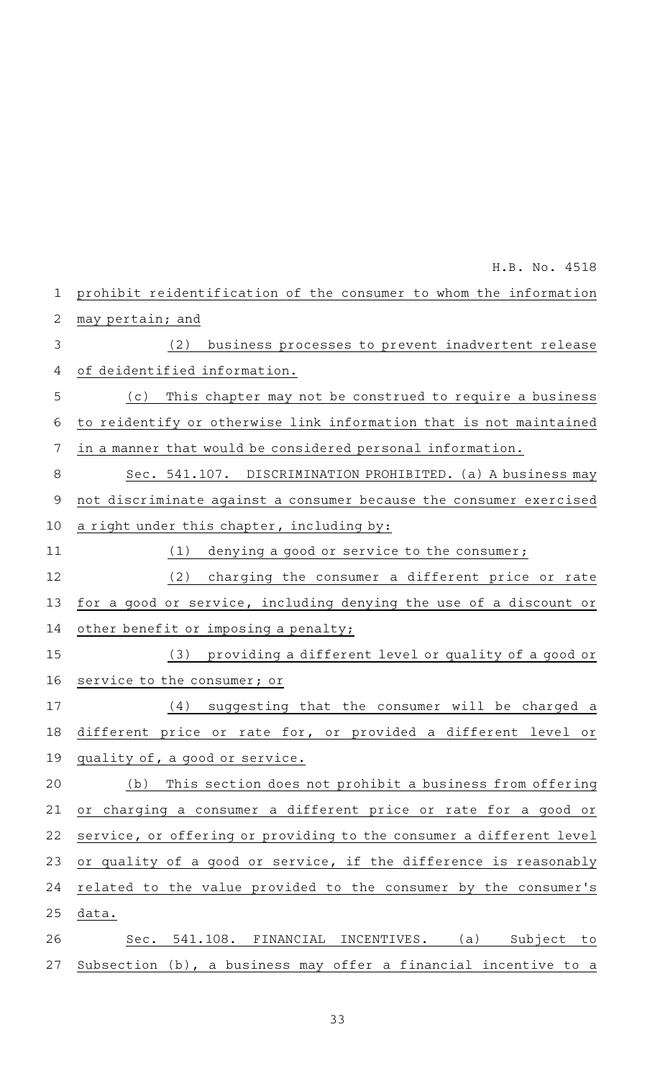prohibit reidentification of the consumer to whom the information may pertain; and (2) business processes to prevent inadvertent release of deidentified information. (c) This chapter may not be construed to require a business to reidentify or otherwise link information that is not maintained in a manner that would be considered personal information. Sec. 541.107. DISCRIMINATION PROHIBITED. (a) A business may not discriminate against a consumer because the consumer exercised a right under this chapter, including by:  $(1)$  denying a good or service to the consumer; (2) charging the consumer a different price or rate for a good or service, including denying the use of a discount or other benefit or imposing a penalty; (3) providing a different level or quality of a good or service to the consumer; or (4) suggesting that the consumer will be charged a different price or rate for, or provided a different level or quality of, a good or service. (b) This section does not prohibit a business from offering or charging a consumer a different price or rate for a good or service, or offering or providing to the consumer a different level or quality of a good or service, if the difference is reasonably related to the value provided to the consumer by the consumer 's data. Sec. 541.108. FINANCIAL INCENTIVES. (a) Subject to Subsection (b), a business may offer a financial incentive to a 1 2 3 4 5 6 7 8 9 10 11 12 13 14 15 16 17 18 19 20 21 22 23 24 25 26 27 H.B. No. 4518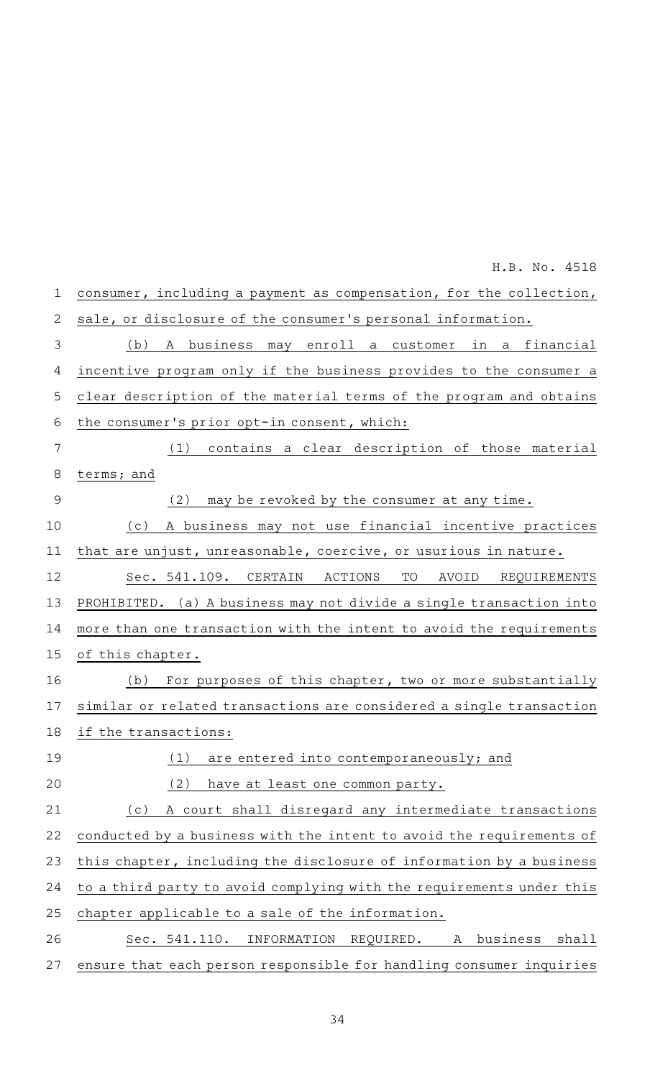consumer, including a payment as compensation, for the collection, sale, or disclosure of the consumer 's personal information. (b)AAA business may enroll a customer in a financial incentive program only if the business provides to the consumer a clear description of the material terms of the program and obtains the consumer 's prior opt-in consent, which:  $(1)$  contains a clear description of those material terms; and  $(2)$  may be revoked by the consumer at any time. (c)AAA business may not use financial incentive practices that are unjust, unreasonable, coercive, or usurious in nature. Sec. 541.109. CERTAIN ACTIONS TO AVOID REQUIREMENTS PROHIBITED. (a) A business may not divide a single transaction into more than one transaction with the intent to avoid the requirements of this chapter. (b) For purposes of this chapter, two or more substantially similar or related transactions are considered a single transaction if the transactions:  $(1)$  are entered into contemporaneously; and (2) have at least one common party. (c) A court shall disregard any intermediate transactions conducted by a business with the intent to avoid the requirements of this chapter, including the disclosure of information by a business to a third party to avoid complying with the requirements under this chapter applicable to a sale of the information. Sec. 541.110. INFORMATION REQUIRED. A business shall ensure that each person responsible for handling consumer inquiries 1 2 3 4 5 6 7 8 9 10 11 12 13 14 15 16 17 18 19 20 21 22 23 24 25 26 27 H.B. No. 4518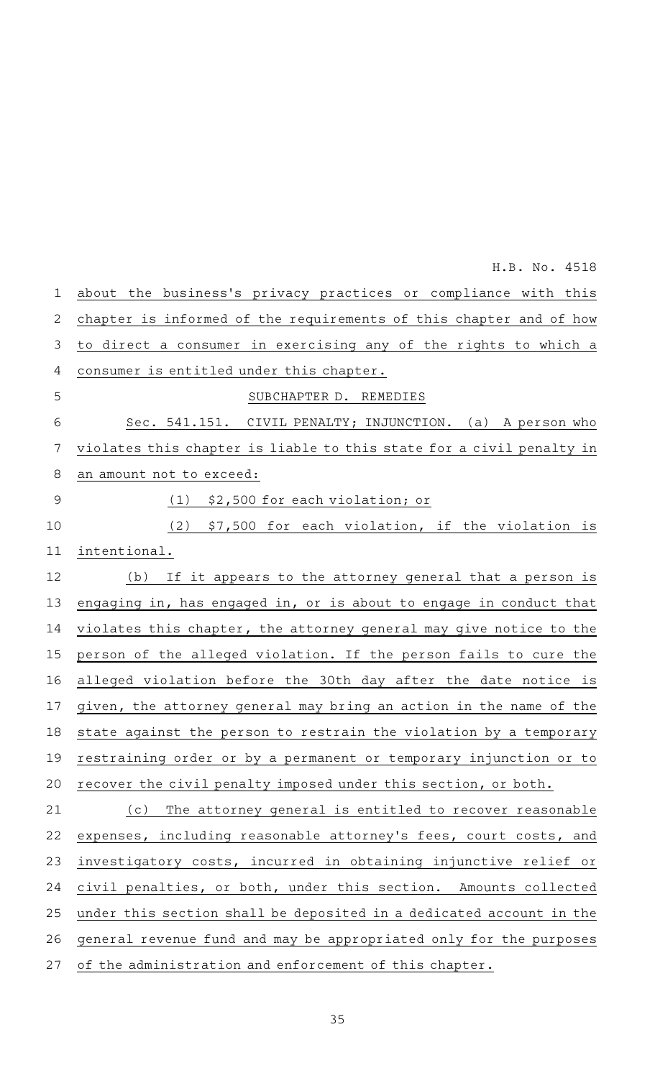| $\mathbf 1$    | about the business's privacy practices or compliance with this       |
|----------------|----------------------------------------------------------------------|
| $\mathbf{2}$   | chapter is informed of the requirements of this chapter and of how   |
| $\mathfrak{Z}$ | to direct a consumer in exercising any of the rights to which a      |
| 4              | consumer is entitled under this chapter.                             |
| 5              | SUBCHAPTER D. REMEDIES                                               |
| 6              | Sec. 541.151. CIVIL PENALTY; INJUNCTION. (a) A person who            |
| 7              | violates this chapter is liable to this state for a civil penalty in |
| $\,8\,$        | an amount not to exceed:                                             |
| $\mathcal{G}$  | $(1)$ \$2,500 for each violation; or                                 |
| 10             | (2) \$7,500 for each violation, if the violation is                  |
| 11             | intentional.                                                         |
| 12             | If it appears to the attorney general that a person is<br>(b)        |
| 13             | engaging in, has engaged in, or is about to engage in conduct that   |
| 14             | violates this chapter, the attorney general may give notice to the   |
| 15             | person of the alleged violation. If the person fails to cure the     |
| 16             | alleged violation before the 30th day after the date notice is       |
| 17             | given, the attorney general may bring an action in the name of the   |
| 18             | state against the person to restrain the violation by a temporary    |
| 19             | restraining order or by a permanent or temporary injunction or to    |
| 20             | recover the civil penalty imposed under this section, or both.       |
| 21             | The attorney general is entitled to recover reasonable<br>(c)        |
| 22             | expenses, including reasonable attorney's fees, court costs, and     |
| 23             | investigatory costs, incurred in obtaining injunctive relief or      |
| 24             | civil penalties, or both, under this section. Amounts collected      |
| 25             | under this section shall be deposited in a dedicated account in the  |
| 26             | general revenue fund and may be appropriated only for the purposes   |
| 27             | of the administration and enforcement of this chapter.               |

35